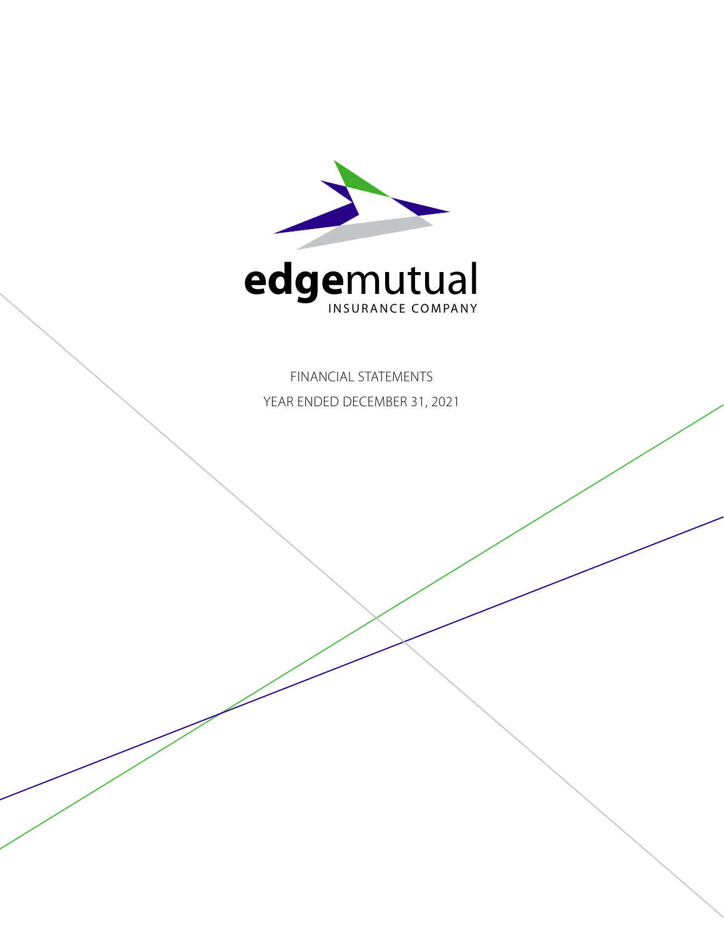

FINANCIAL STATEMENTS YEAR ENDED DECEMBER 31, 2021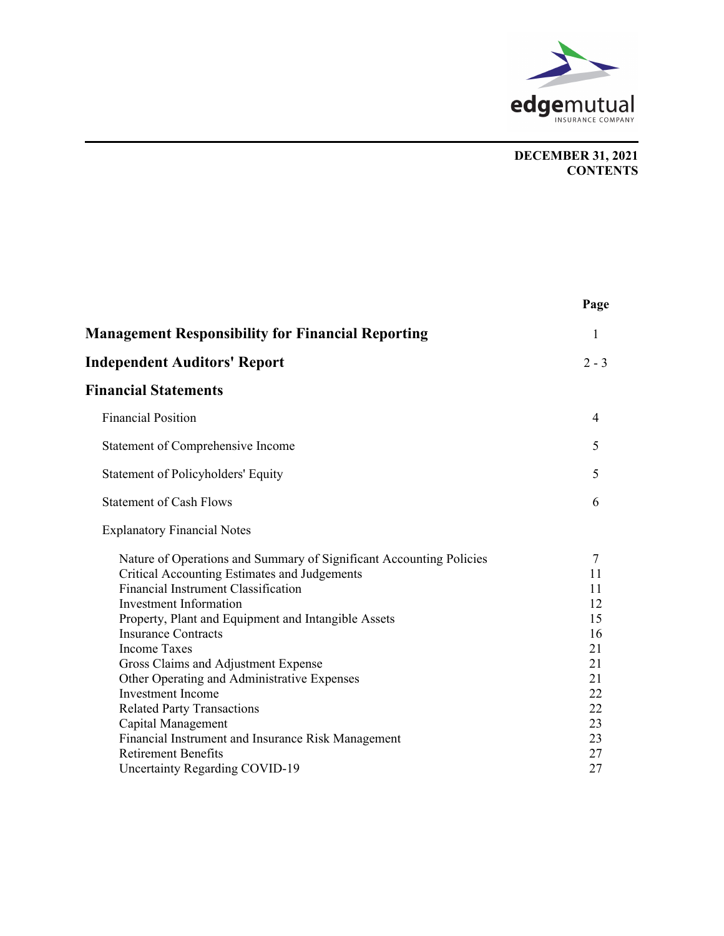

# **DECEMBER 31, 2021 CONTENTS**

|                                                                                                                                                                                                                                                                                                                                                                                                                                                                                                                                                                          | Page                                                                            |
|--------------------------------------------------------------------------------------------------------------------------------------------------------------------------------------------------------------------------------------------------------------------------------------------------------------------------------------------------------------------------------------------------------------------------------------------------------------------------------------------------------------------------------------------------------------------------|---------------------------------------------------------------------------------|
| <b>Management Responsibility for Financial Reporting</b>                                                                                                                                                                                                                                                                                                                                                                                                                                                                                                                 | 1                                                                               |
| <b>Independent Auditors' Report</b>                                                                                                                                                                                                                                                                                                                                                                                                                                                                                                                                      | $2 - 3$                                                                         |
| <b>Financial Statements</b>                                                                                                                                                                                                                                                                                                                                                                                                                                                                                                                                              |                                                                                 |
| <b>Financial Position</b>                                                                                                                                                                                                                                                                                                                                                                                                                                                                                                                                                | 4                                                                               |
| Statement of Comprehensive Income                                                                                                                                                                                                                                                                                                                                                                                                                                                                                                                                        | 5                                                                               |
| Statement of Policyholders' Equity                                                                                                                                                                                                                                                                                                                                                                                                                                                                                                                                       | 5                                                                               |
| <b>Statement of Cash Flows</b>                                                                                                                                                                                                                                                                                                                                                                                                                                                                                                                                           | 6                                                                               |
| <b>Explanatory Financial Notes</b>                                                                                                                                                                                                                                                                                                                                                                                                                                                                                                                                       |                                                                                 |
| Nature of Operations and Summary of Significant Accounting Policies<br>Critical Accounting Estimates and Judgements<br>Financial Instrument Classification<br><b>Investment Information</b><br>Property, Plant and Equipment and Intangible Assets<br><b>Insurance Contracts</b><br><b>Income Taxes</b><br>Gross Claims and Adjustment Expense<br>Other Operating and Administrative Expenses<br><b>Investment Income</b><br><b>Related Party Transactions</b><br>Capital Management<br>Financial Instrument and Insurance Risk Management<br><b>Retirement Benefits</b> | 7<br>11<br>11<br>12<br>15<br>16<br>21<br>21<br>21<br>22<br>22<br>23<br>23<br>27 |
| <b>Uncertainty Regarding COVID-19</b>                                                                                                                                                                                                                                                                                                                                                                                                                                                                                                                                    | 27                                                                              |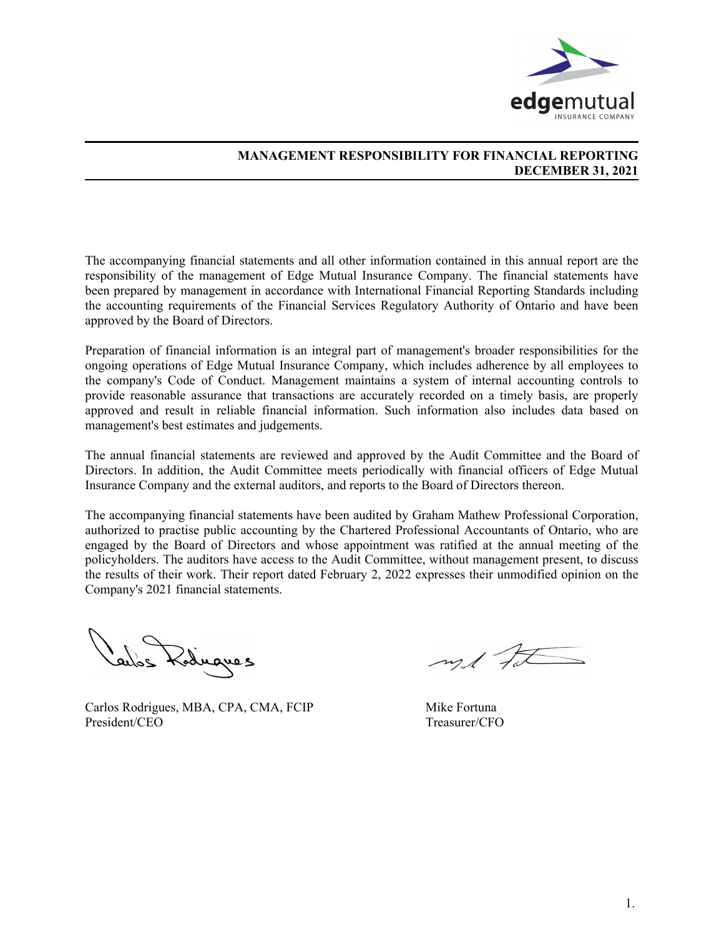

## **MANAGEMENT RESPONSIBILITY FOR FINANCIAL REPORTING DECEMBER 31, 2021**

The accompanying financial statements and all other information contained in this annual report are the responsibility of the management of Edge Mutual Insurance Company. The financial statements have been prepared by management in accordance with International Financial Reporting Standards including the accounting requirements of the Financial Services Regulatory Authority of Ontario and have been approved by the Board of Directors.

Preparation of financial information is an integral part of management's broader responsibilities for the ongoing operations of Edge Mutual Insurance Company, which includes adherence by all employees to the company's Code of Conduct. Management maintains a system of internal accounting controls to provide reasonable assurance that transactions are accurately recorded on a timely basis, are properly approved and result in reliable financial information. Such information also includes data based on management's best estimates and judgements.

The annual financial statements are reviewed and approved by the Audit Committee and the Board of Directors. In addition, the Audit Committee meets periodically with financial officers of Edge Mutual Insurance Company and the external auditors, and reports to the Board of Directors thereon.

The accompanying financial statements have been audited by Graham Mathew Professional Corporation, authorized to practise public accounting by the Chartered Professional Accountants of Ontario, who are engaged by the Board of Directors and whose appointment was ratified at the annual meeting of the policyholders. The auditors have access to the Audit Committee, without management present, to discuss the results of their work. Their report dated February 2, 2022 expresses their unmodified opinion on the Company's 2021 financial statements.

Celos Rodugues

Carlos Rodrigues, MBA, CPA, CMA, FCIP Mike Fortuna President/CEO Treasurer/CFO

my tat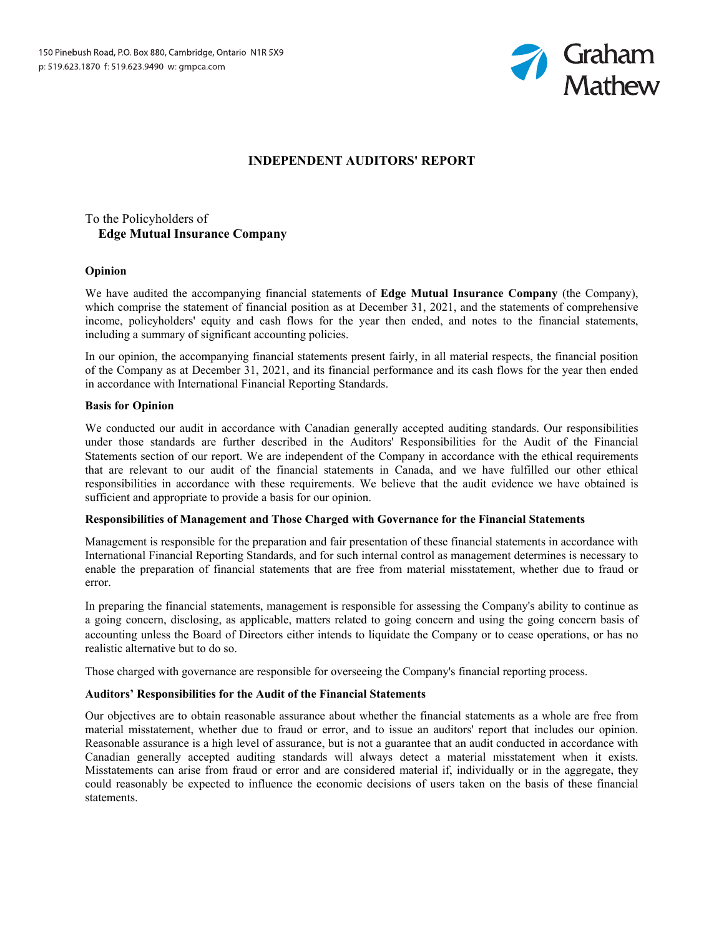

## **INDEPENDENT AUDITORS' REPORT**

To the Policyholders of **Edge Mutual Insurance Company**

#### **Opinion**

We have audited the accompanying financial statements of **Edge Mutual Insurance Company** (the Company), which comprise the statement of financial position as at December 31, 2021, and the statements of comprehensive income, policyholders' equity and cash flows for the year then ended, and notes to the financial statements, including a summary of significant accounting policies.

In our opinion, the accompanying financial statements present fairly, in all material respects, the financial position of the Company as at December 31, 2021, and its financial performance and its cash flows for the year then ended in accordance with International Financial Reporting Standards.

#### **Basis for Opinion**

We conducted our audit in accordance with Canadian generally accepted auditing standards. Our responsibilities under those standards are further described in the Auditors' Responsibilities for the Audit of the Financial Statements section of our report. We are independent of the Company in accordance with the ethical requirements that are relevant to our audit of the financial statements in Canada, and we have fulfilled our other ethical responsibilities in accordance with these requirements. We believe that the audit evidence we have obtained is sufficient and appropriate to provide a basis for our opinion.

#### **Responsibilities of Management and Those Charged with Governance for the Financial Statements**

Management is responsible for the preparation and fair presentation of these financial statements in accordance with International Financial Reporting Standards, and for such internal control as management determines is necessary to enable the preparation of financial statements that are free from material misstatement, whether due to fraud or error.

In preparing the financial statements, management is responsible for assessing the Company's ability to continue as a going concern, disclosing, as applicable, matters related to going concern and using the going concern basis of accounting unless the Board of Directors either intends to liquidate the Company or to cease operations, or has no realistic alternative but to do so.

Those charged with governance are responsible for overseeing the Company's financial reporting process.

#### **Auditors' Responsibilities for the Audit of the Financial Statements**

Our objectives are to obtain reasonable assurance about whether the financial statements as a whole are free from material misstatement, whether due to fraud or error, and to issue an auditors' report that includes our opinion. Reasonable assurance is a high level of assurance, but is not a guarantee that an audit conducted in accordance with Canadian generally accepted auditing standards will always detect a material misstatement when it exists. Misstatements can arise from fraud or error and are considered material if, individually or in the aggregate, they could reasonably be expected to influence the economic decisions of users taken on the basis of these financial statements.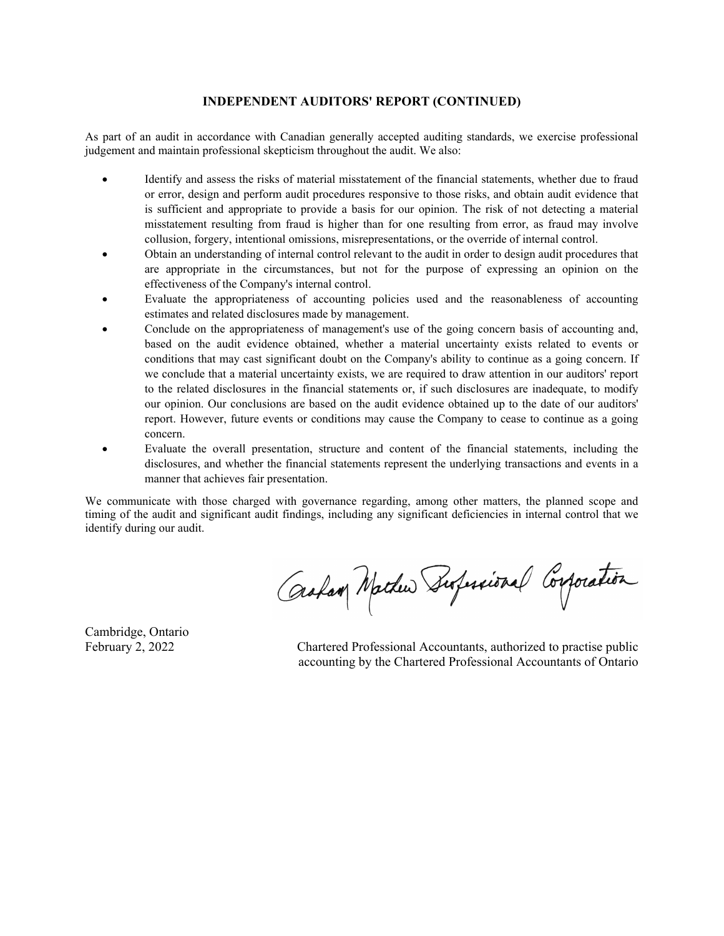## **INDEPENDENT AUDITORS' REPORT (CONTINUED)**

As part of an audit in accordance with Canadian generally accepted auditing standards, we exercise professional judgement and maintain professional skepticism throughout the audit. We also:

- Identify and assess the risks of material misstatement of the financial statements, whether due to fraud or error, design and perform audit procedures responsive to those risks, and obtain audit evidence that is sufficient and appropriate to provide a basis for our opinion. The risk of not detecting a material misstatement resulting from fraud is higher than for one resulting from error, as fraud may involve collusion, forgery, intentional omissions, misrepresentations, or the override of internal control.
- Obtain an understanding of internal control relevant to the audit in order to design audit procedures that are appropriate in the circumstances, but not for the purpose of expressing an opinion on the effectiveness of the Company's internal control.
- Evaluate the appropriateness of accounting policies used and the reasonableness of accounting estimates and related disclosures made by management.
- Conclude on the appropriateness of management's use of the going concern basis of accounting and, based on the audit evidence obtained, whether a material uncertainty exists related to events or conditions that may cast significant doubt on the Company's ability to continue as a going concern. If we conclude that a material uncertainty exists, we are required to draw attention in our auditors' report to the related disclosures in the financial statements or, if such disclosures are inadequate, to modify our opinion. Our conclusions are based on the audit evidence obtained up to the date of our auditors' report. However, future events or conditions may cause the Company to cease to continue as a going concern.
- Evaluate the overall presentation, structure and content of the financial statements, including the disclosures, and whether the financial statements represent the underlying transactions and events in a manner that achieves fair presentation.

We communicate with those charged with governance regarding, among other matters, the planned scope and timing of the audit and significant audit findings, including any significant deficiencies in internal control that we identify during our audit.

Graham Markew Bufessional Corporation

Cambridge, Ontario

February 2, 2022 Chartered Professional Accountants, authorized to practise public accounting by the Chartered Professional Accountants of Ontario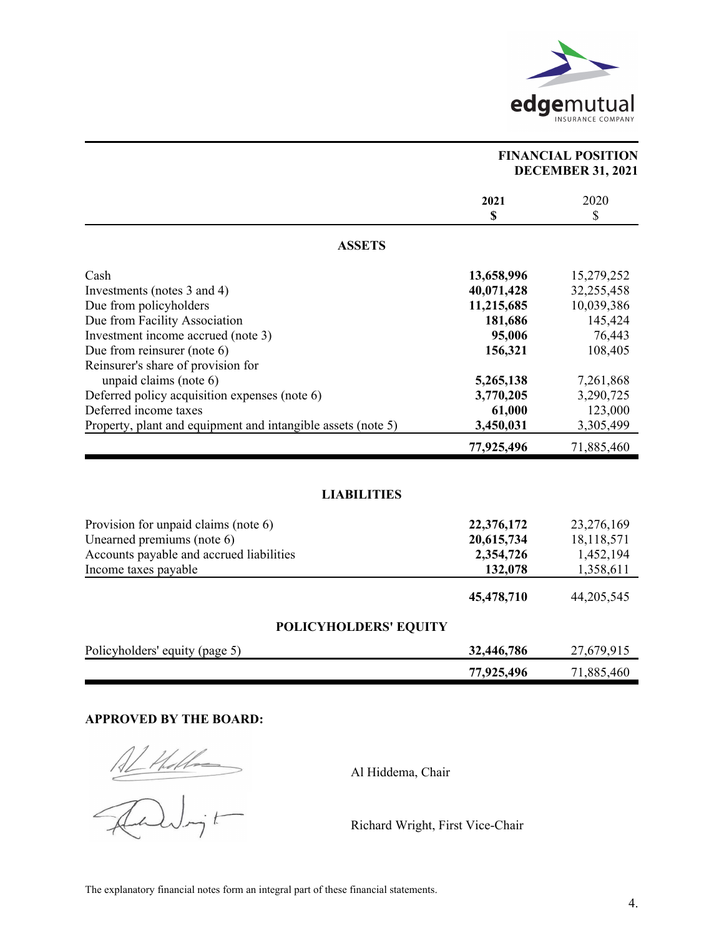

# **FINANCIAL POSITION DECEMBER 31, 2021**

|                                                                                                                                                                                                                                                                                                                                                                               | 2021<br>\$                                                                                                                            | 2020<br>\$                                                                                                                             |
|-------------------------------------------------------------------------------------------------------------------------------------------------------------------------------------------------------------------------------------------------------------------------------------------------------------------------------------------------------------------------------|---------------------------------------------------------------------------------------------------------------------------------------|----------------------------------------------------------------------------------------------------------------------------------------|
| <b>ASSETS</b>                                                                                                                                                                                                                                                                                                                                                                 |                                                                                                                                       |                                                                                                                                        |
| Cash<br>Investments (notes 3 and 4)<br>Due from policyholders<br>Due from Facility Association<br>Investment income accrued (note 3)<br>Due from reinsurer (note 6)<br>Reinsurer's share of provision for<br>unpaid claims (note 6)<br>Deferred policy acquisition expenses (note 6)<br>Deferred income taxes<br>Property, plant and equipment and intangible assets (note 5) | 13,658,996<br>40,071,428<br>11,215,685<br>181,686<br>95,006<br>156,321<br>5,265,138<br>3,770,205<br>61,000<br>3,450,031<br>77,925,496 | 15,279,252<br>32,255,458<br>10,039,386<br>145,424<br>76,443<br>108,405<br>7,261,868<br>3,290,725<br>123,000<br>3,305,499<br>71,885,460 |
|                                                                                                                                                                                                                                                                                                                                                                               |                                                                                                                                       |                                                                                                                                        |
| <b>LIABILITIES</b>                                                                                                                                                                                                                                                                                                                                                            |                                                                                                                                       |                                                                                                                                        |
| Provision for unpaid claims (note 6)<br>Unearned premiums (note 6)<br>Accounts payable and accrued liabilities<br>Income taxes payable                                                                                                                                                                                                                                        | 22,376,172<br>20,615,734<br>2,354,726<br>132,078                                                                                      | 23,276,169<br>18,118,571<br>1,452,194<br>1,358,611                                                                                     |
|                                                                                                                                                                                                                                                                                                                                                                               | 45,478,710                                                                                                                            | 44,205,545                                                                                                                             |
| POLICYHOLDERS' EQUITY                                                                                                                                                                                                                                                                                                                                                         |                                                                                                                                       |                                                                                                                                        |
| Policyholders' equity (page 5)                                                                                                                                                                                                                                                                                                                                                | 32,446,786<br>77,925,496                                                                                                              | 27,679,915<br>71,885,460                                                                                                               |

# **APPROVED BY THE BOARD:**

ALHold  $\angle$ 

Al Hiddema, Chair

Richard Wright, First Vice-Chair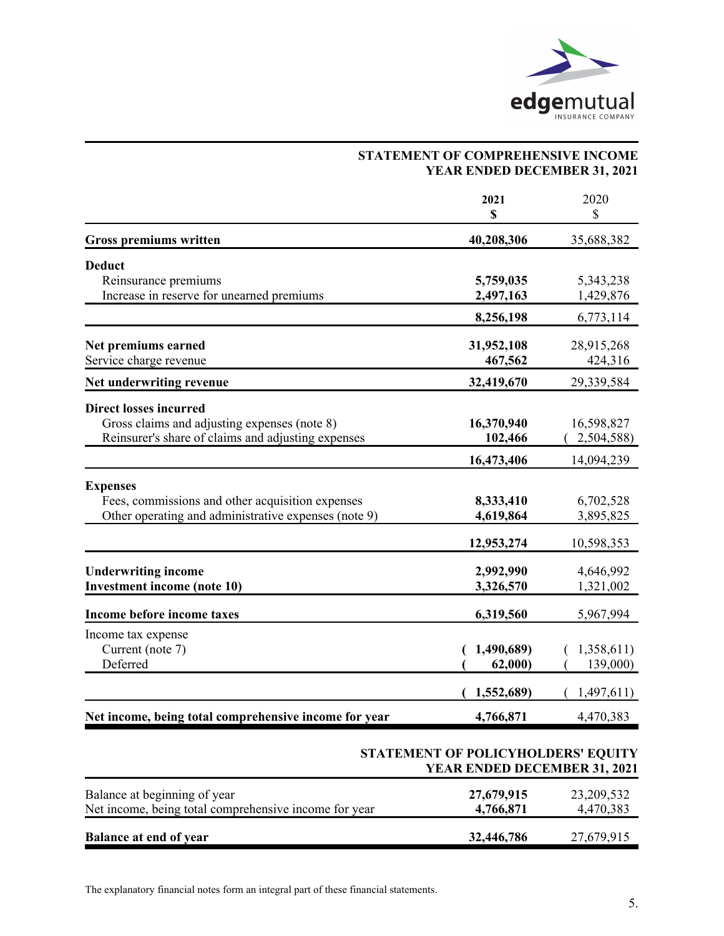

## **STATEMENT OF COMPREHENSIVE INCOME YEAR ENDED DECEMBER 31, 2021**

| \$<br>40,208,306<br>5,759,035<br>2,497,163<br>8,256,198<br>31,952,108<br>467,562<br>32,419,670 | 35,688,382<br>5,343,238<br>1,429,876<br>6,773,114<br>28,915,268<br>424,316<br>29,339,584 |
|------------------------------------------------------------------------------------------------|------------------------------------------------------------------------------------------|
|                                                                                                |                                                                                          |
|                                                                                                |                                                                                          |
|                                                                                                |                                                                                          |
|                                                                                                |                                                                                          |
|                                                                                                |                                                                                          |
|                                                                                                |                                                                                          |
|                                                                                                |                                                                                          |
|                                                                                                |                                                                                          |
|                                                                                                |                                                                                          |
|                                                                                                | 16,598,827                                                                               |
| 102,466                                                                                        | 2,504,588)                                                                               |
| 16,473,406                                                                                     | 14,094,239                                                                               |
|                                                                                                |                                                                                          |
|                                                                                                | 6,702,528                                                                                |
| 4,619,864                                                                                      | 3,895,825                                                                                |
|                                                                                                | 10,598,353                                                                               |
|                                                                                                |                                                                                          |
|                                                                                                | 4,646,992<br>1,321,002                                                                   |
|                                                                                                |                                                                                          |
| 6,319,560                                                                                      | 5,967,994                                                                                |
|                                                                                                |                                                                                          |
| 1,490,689)                                                                                     | 1,358,611)                                                                               |
|                                                                                                | 139,000)                                                                                 |
| 1,552,689)                                                                                     | 1,497,611)                                                                               |
| 4,766,871                                                                                      | 4,470,383                                                                                |
|                                                                                                | 16,370,940<br>8,333,410<br>12,953,274<br>2,992,990<br>3,326,570<br>62,000)               |

# **STATEMENT OF POLICYHOLDERS' EQUITY YEAR ENDED DECEMBER 31, 2021**

| Balance at beginning of year                          | 27,679,915 | 23, 209, 532 |
|-------------------------------------------------------|------------|--------------|
| Net income, being total comprehensive income for year | 4,766,871  | 4,470,383    |
| <b>Balance at end of year</b>                         | 32,446,786 | 27,679,915   |

The explanatory financial notes form an integral part of these financial statements.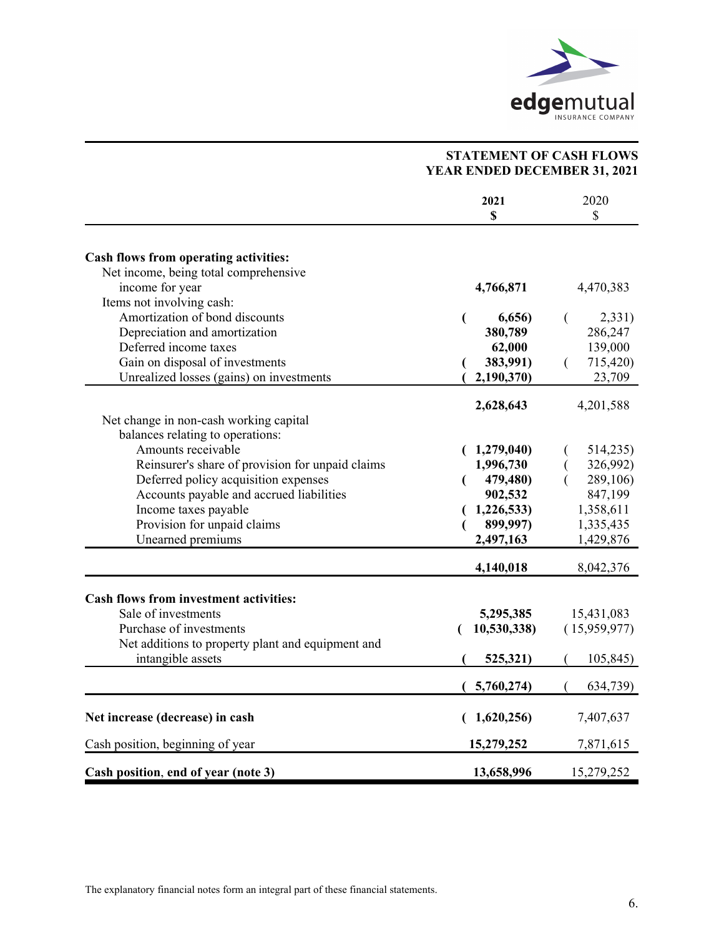

# **STATEMENT OF CASH FLOWS YEAR ENDED DECEMBER 31, 2021**

|                                                   | 2021<br>$\mathbf S$ | 2020<br>$\mathbb{S}$ |
|---------------------------------------------------|---------------------|----------------------|
| Cash flows from operating activities:             |                     |                      |
| Net income, being total comprehensive             |                     |                      |
| income for year                                   | 4,766,871           | 4,470,383            |
| Items not involving cash:                         |                     |                      |
| Amortization of bond discounts                    | 6,656<br>€          | 2,331)               |
| Depreciation and amortization                     | 380,789             | 286,247              |
| Deferred income taxes                             | 62,000              | 139,000              |
| Gain on disposal of investments                   | 383,991)            | 715,420)             |
| Unrealized losses (gains) on investments          | 2,190,370)          | 23,709               |
|                                                   | 2,628,643           | 4,201,588            |
| Net change in non-cash working capital            |                     |                      |
| balances relating to operations:                  |                     |                      |
| Amounts receivable                                | 1,279,040           | 514,235)             |
| Reinsurer's share of provision for unpaid claims  | 1,996,730           | 326,992)             |
| Deferred policy acquisition expenses              | 479,480)            | 289,106)             |
| Accounts payable and accrued liabilities          | 902,532             | 847,199              |
| Income taxes payable                              | 1,226,533)          | 1,358,611            |
| Provision for unpaid claims                       | 899,997)            | 1,335,435            |
| Unearned premiums                                 | 2,497,163           | 1,429,876            |
|                                                   | 4,140,018           | 8,042,376            |
| <b>Cash flows from investment activities:</b>     |                     |                      |
| Sale of investments                               | 5,295,385           | 15,431,083           |
| Purchase of investments                           | 10,530,338)         | (15,959,977)         |
| Net additions to property plant and equipment and |                     |                      |
| intangible assets                                 | 525,321)            | 105,845)             |
|                                                   | 5,760,274)          | 634,739              |
| Net increase (decrease) in cash                   | 1,620,256           | 7,407,637            |
|                                                   |                     |                      |
| Cash position, beginning of year                  | 15,279,252          | 7,871,615            |
| Cash position, end of year (note 3)               | 13,658,996          | 15,279,252           |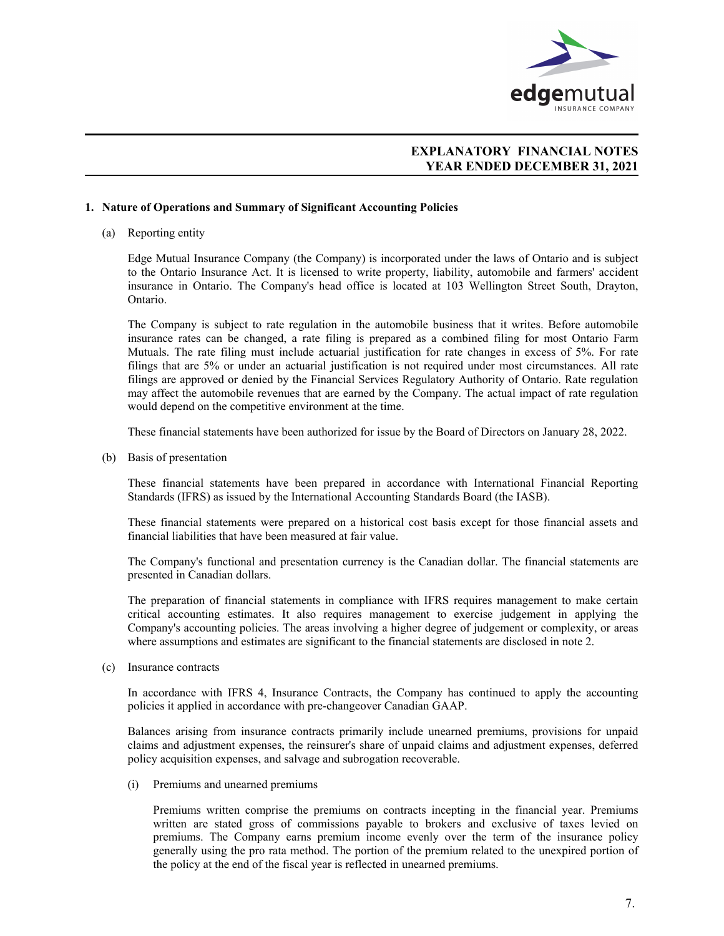

## **1. Nature of Operations and Summary of Significant Accounting Policies**

(a) Reporting entity

Edge Mutual Insurance Company (the Company) is incorporated under the laws of Ontario and is subject to the Ontario Insurance Act. It is licensed to write property, liability, automobile and farmers' accident insurance in Ontario. The Company's head office is located at 103 Wellington Street South, Drayton, Ontario.

The Company is subject to rate regulation in the automobile business that it writes. Before automobile insurance rates can be changed, a rate filing is prepared as a combined filing for most Ontario Farm Mutuals. The rate filing must include actuarial justification for rate changes in excess of 5%. For rate filings that are 5% or under an actuarial justification is not required under most circumstances. All rate filings are approved or denied by the Financial Services Regulatory Authority of Ontario. Rate regulation may affect the automobile revenues that are earned by the Company. The actual impact of rate regulation would depend on the competitive environment at the time.

These financial statements have been authorized for issue by the Board of Directors on January 28, 2022.

(b) Basis of presentation

These financial statements have been prepared in accordance with International Financial Reporting Standards (IFRS) as issued by the International Accounting Standards Board (the IASB).

These financial statements were prepared on a historical cost basis except for those financial assets and financial liabilities that have been measured at fair value.

The Company's functional and presentation currency is the Canadian dollar. The financial statements are presented in Canadian dollars.

The preparation of financial statements in compliance with IFRS requires management to make certain critical accounting estimates. It also requires management to exercise judgement in applying the Company's accounting policies. The areas involving a higher degree of judgement or complexity, or areas where assumptions and estimates are significant to the financial statements are disclosed in note 2.

(c) Insurance contracts

In accordance with IFRS 4, Insurance Contracts, the Company has continued to apply the accounting policies it applied in accordance with pre-changeover Canadian GAAP.

Balances arising from insurance contracts primarily include unearned premiums, provisions for unpaid claims and adjustment expenses, the reinsurer's share of unpaid claims and adjustment expenses, deferred policy acquisition expenses, and salvage and subrogation recoverable.

(i) Premiums and unearned premiums

Premiums written comprise the premiums on contracts incepting in the financial year. Premiums written are stated gross of commissions payable to brokers and exclusive of taxes levied on premiums. The Company earns premium income evenly over the term of the insurance policy generally using the pro rata method. The portion of the premium related to the unexpired portion of the policy at the end of the fiscal year is reflected in unearned premiums.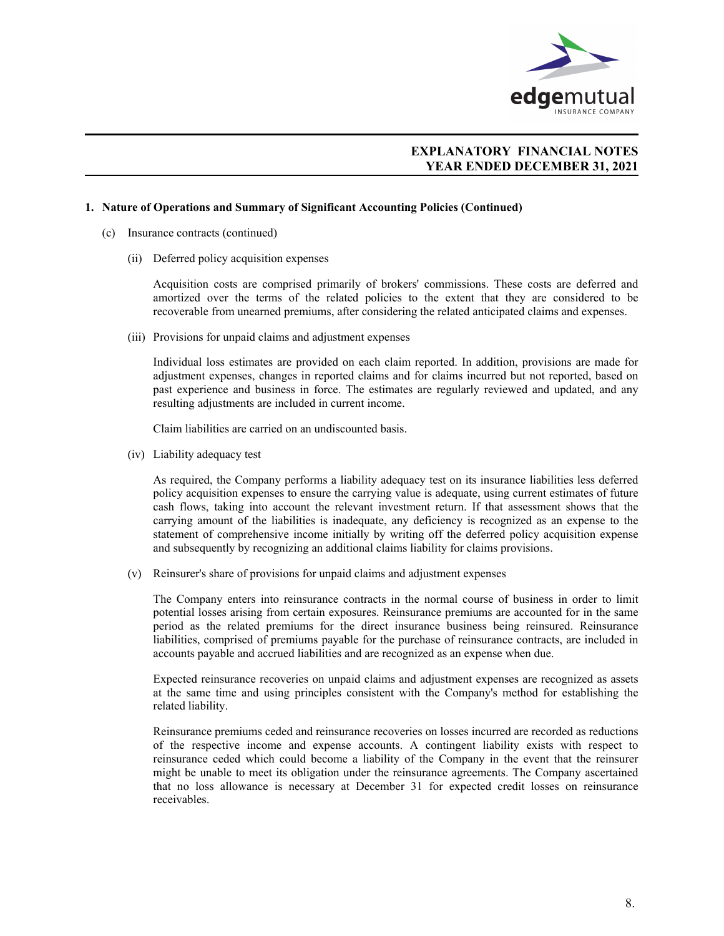

#### **1. Nature of Operations and Summary of Significant Accounting Policies (Continued)**

- (c) Insurance contracts (continued)
	- (ii) Deferred policy acquisition expenses

Acquisition costs are comprised primarily of brokers' commissions. These costs are deferred and amortized over the terms of the related policies to the extent that they are considered to be recoverable from unearned premiums, after considering the related anticipated claims and expenses.

(iii) Provisions for unpaid claims and adjustment expenses

Individual loss estimates are provided on each claim reported. In addition, provisions are made for adjustment expenses, changes in reported claims and for claims incurred but not reported, based on past experience and business in force. The estimates are regularly reviewed and updated, and any resulting adjustments are included in current income.

Claim liabilities are carried on an undiscounted basis.

(iv) Liability adequacy test

As required, the Company performs a liability adequacy test on its insurance liabilities less deferred policy acquisition expenses to ensure the carrying value is adequate, using current estimates of future cash flows, taking into account the relevant investment return. If that assessment shows that the carrying amount of the liabilities is inadequate, any deficiency is recognized as an expense to the statement of comprehensive income initially by writing off the deferred policy acquisition expense and subsequently by recognizing an additional claims liability for claims provisions.

(v) Reinsurer's share of provisions for unpaid claims and adjustment expenses

The Company enters into reinsurance contracts in the normal course of business in order to limit potential losses arising from certain exposures. Reinsurance premiums are accounted for in the same period as the related premiums for the direct insurance business being reinsured. Reinsurance liabilities, comprised of premiums payable for the purchase of reinsurance contracts, are included in accounts payable and accrued liabilities and are recognized as an expense when due.

Expected reinsurance recoveries on unpaid claims and adjustment expenses are recognized as assets at the same time and using principles consistent with the Company's method for establishing the related liability.

Reinsurance premiums ceded and reinsurance recoveries on losses incurred are recorded as reductions of the respective income and expense accounts. A contingent liability exists with respect to reinsurance ceded which could become a liability of the Company in the event that the reinsurer might be unable to meet its obligation under the reinsurance agreements. The Company ascertained that no loss allowance is necessary at December 31 for expected credit losses on reinsurance receivables.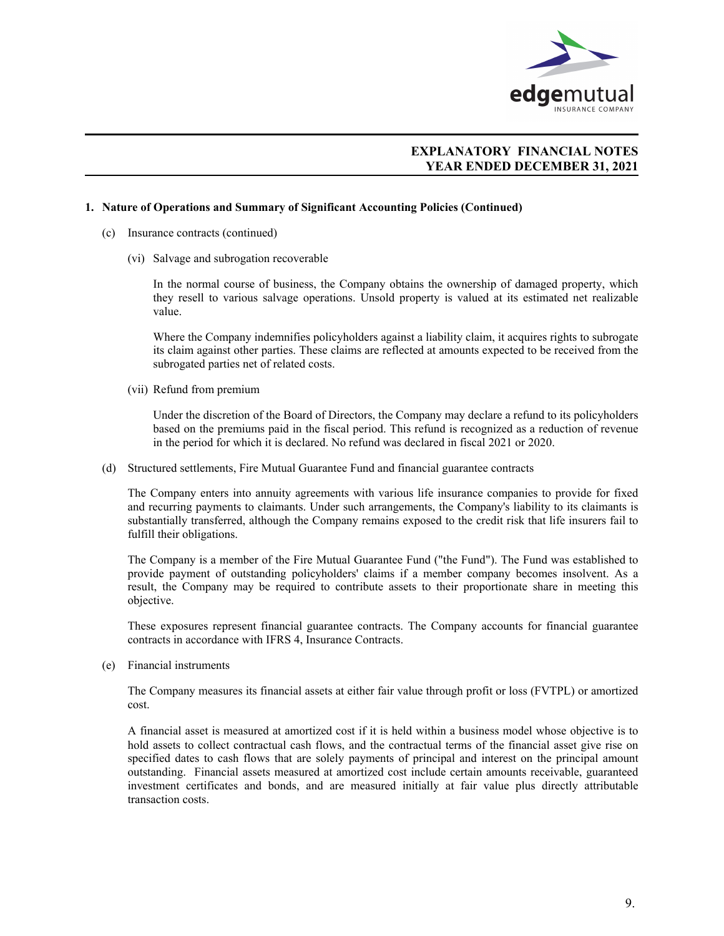

## **1. Nature of Operations and Summary of Significant Accounting Policies (Continued)**

- (c) Insurance contracts (continued)
	- (vi) Salvage and subrogation recoverable

In the normal course of business, the Company obtains the ownership of damaged property, which they resell to various salvage operations. Unsold property is valued at its estimated net realizable value.

Where the Company indemnifies policyholders against a liability claim, it acquires rights to subrogate its claim against other parties. These claims are reflected at amounts expected to be received from the subrogated parties net of related costs.

(vii) Refund from premium

Under the discretion of the Board of Directors, the Company may declare a refund to its policyholders based on the premiums paid in the fiscal period. This refund is recognized as a reduction of revenue in the period for which it is declared. No refund was declared in fiscal 2021 or 2020.

(d) Structured settlements, Fire Mutual Guarantee Fund and financial guarantee contracts

The Company enters into annuity agreements with various life insurance companies to provide for fixed and recurring payments to claimants. Under such arrangements, the Company's liability to its claimants is substantially transferred, although the Company remains exposed to the credit risk that life insurers fail to fulfill their obligations.

The Company is a member of the Fire Mutual Guarantee Fund ("the Fund"). The Fund was established to provide payment of outstanding policyholders' claims if a member company becomes insolvent. As a result, the Company may be required to contribute assets to their proportionate share in meeting this objective.

These exposures represent financial guarantee contracts. The Company accounts for financial guarantee contracts in accordance with IFRS 4, Insurance Contracts.

(e) Financial instruments

The Company measures its financial assets at either fair value through profit or loss (FVTPL) or amortized cost.

A financial asset is measured at amortized cost if it is held within a business model whose objective is to hold assets to collect contractual cash flows, and the contractual terms of the financial asset give rise on specified dates to cash flows that are solely payments of principal and interest on the principal amount outstanding. Financial assets measured at amortized cost include certain amounts receivable, guaranteed investment certificates and bonds, and are measured initially at fair value plus directly attributable transaction costs.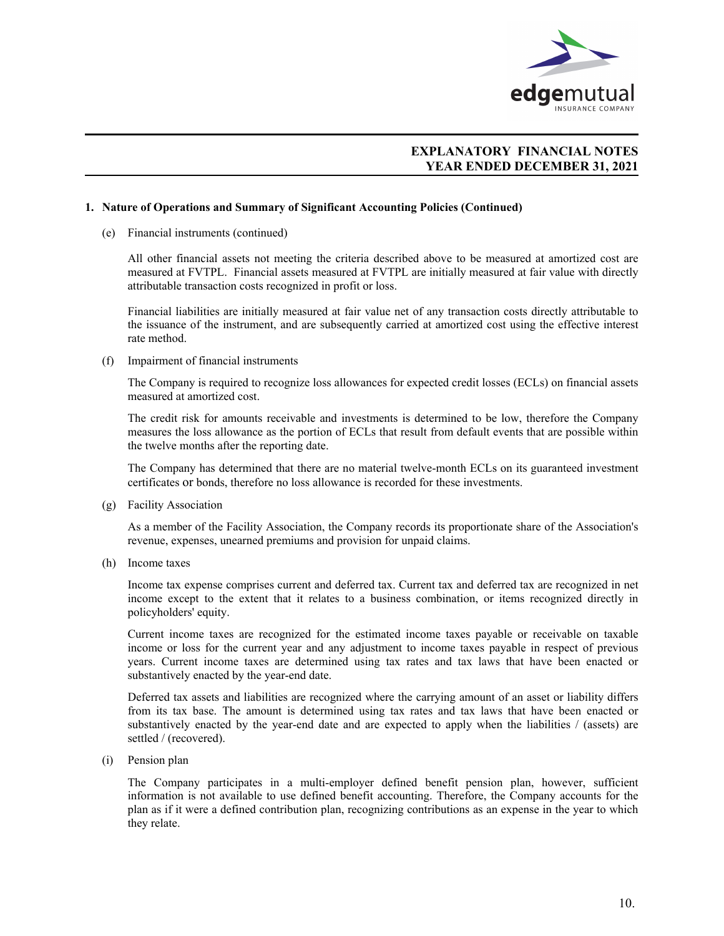

#### **1. Nature of Operations and Summary of Significant Accounting Policies (Continued)**

(e) Financial instruments (continued)

All other financial assets not meeting the criteria described above to be measured at amortized cost are measured at FVTPL. Financial assets measured at FVTPL are initially measured at fair value with directly attributable transaction costs recognized in profit or loss.

Financial liabilities are initially measured at fair value net of any transaction costs directly attributable to the issuance of the instrument, and are subsequently carried at amortized cost using the effective interest rate method.

(f) Impairment of financial instruments

The Company is required to recognize loss allowances for expected credit losses (ECLs) on financial assets measured at amortized cost.

The credit risk for amounts receivable and investments is determined to be low, therefore the Company measures the loss allowance as the portion of ECLs that result from default events that are possible within the twelve months after the reporting date.

The Company has determined that there are no material twelve-month ECLs on its guaranteed investment certificates or bonds, therefore no loss allowance is recorded for these investments.

(g) Facility Association

As a member of the Facility Association, the Company records its proportionate share of the Association's revenue, expenses, unearned premiums and provision for unpaid claims.

(h) Income taxes

Income tax expense comprises current and deferred tax. Current tax and deferred tax are recognized in net income except to the extent that it relates to a business combination, or items recognized directly in policyholders' equity.

Current income taxes are recognized for the estimated income taxes payable or receivable on taxable income or loss for the current year and any adjustment to income taxes payable in respect of previous years. Current income taxes are determined using tax rates and tax laws that have been enacted or substantively enacted by the year-end date.

Deferred tax assets and liabilities are recognized where the carrying amount of an asset or liability differs from its tax base. The amount is determined using tax rates and tax laws that have been enacted or substantively enacted by the year-end date and are expected to apply when the liabilities / (assets) are settled / (recovered).

(i) Pension plan

The Company participates in a multi-employer defined benefit pension plan, however, sufficient information is not available to use defined benefit accounting. Therefore, the Company accounts for the plan as if it were a defined contribution plan, recognizing contributions as an expense in the year to which they relate.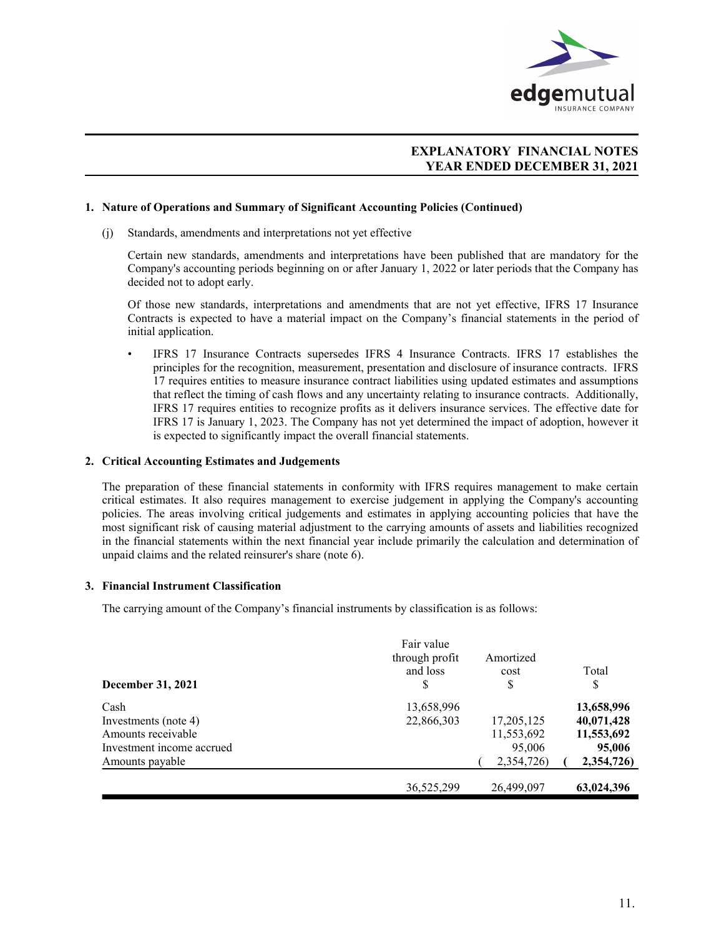

## **1. Nature of Operations and Summary of Significant Accounting Policies (Continued)**

(j) Standards, amendments and interpretations not yet effective

Certain new standards, amendments and interpretations have been published that are mandatory for the Company's accounting periods beginning on or after January 1, 2022 or later periods that the Company has decided not to adopt early.

Of those new standards, interpretations and amendments that are not yet effective, IFRS 17 Insurance Contracts is expected to have a material impact on the Company's financial statements in the period of initial application.

• IFRS 17 Insurance Contracts supersedes IFRS 4 Insurance Contracts. IFRS 17 establishes the principles for the recognition, measurement, presentation and disclosure of insurance contracts. IFRS 17 requires entities to measure insurance contract liabilities using updated estimates and assumptions that reflect the timing of cash flows and any uncertainty relating to insurance contracts. Additionally, IFRS 17 requires entities to recognize profits as it delivers insurance services. The effective date for IFRS 17 is January 1, 2023. The Company has not yet determined the impact of adoption, however it is expected to significantly impact the overall financial statements.

#### **2. Critical Accounting Estimates and Judgements**

The preparation of these financial statements in conformity with IFRS requires management to make certain critical estimates. It also requires management to exercise judgement in applying the Company's accounting policies. The areas involving critical judgements and estimates in applying accounting policies that have the most significant risk of causing material adjustment to the carrying amounts of assets and liabilities recognized in the financial statements within the next financial year include primarily the calculation and determination of unpaid claims and the related reinsurer's share (note 6).

#### **3. Financial Instrument Classification**

The carrying amount of the Company's financial instruments by classification is as follows:

| <b>December 31, 2021</b>  | Fair value<br>through profit<br>and loss<br>S | Amortized<br>cost<br>S | Total<br>S |
|---------------------------|-----------------------------------------------|------------------------|------------|
| Cash                      | 13,658,996                                    |                        | 13,658,996 |
| Investments (note 4)      | 22,866,303                                    | 17,205,125             | 40,071,428 |
| Amounts receivable        |                                               | 11,553,692             | 11,553,692 |
| Investment income accrued |                                               | 95,006                 | 95,006     |
| Amounts payable           |                                               | 2,354,726)             | 2,354,726) |
|                           | 36,525,299                                    | 26,499,097             | 63,024,396 |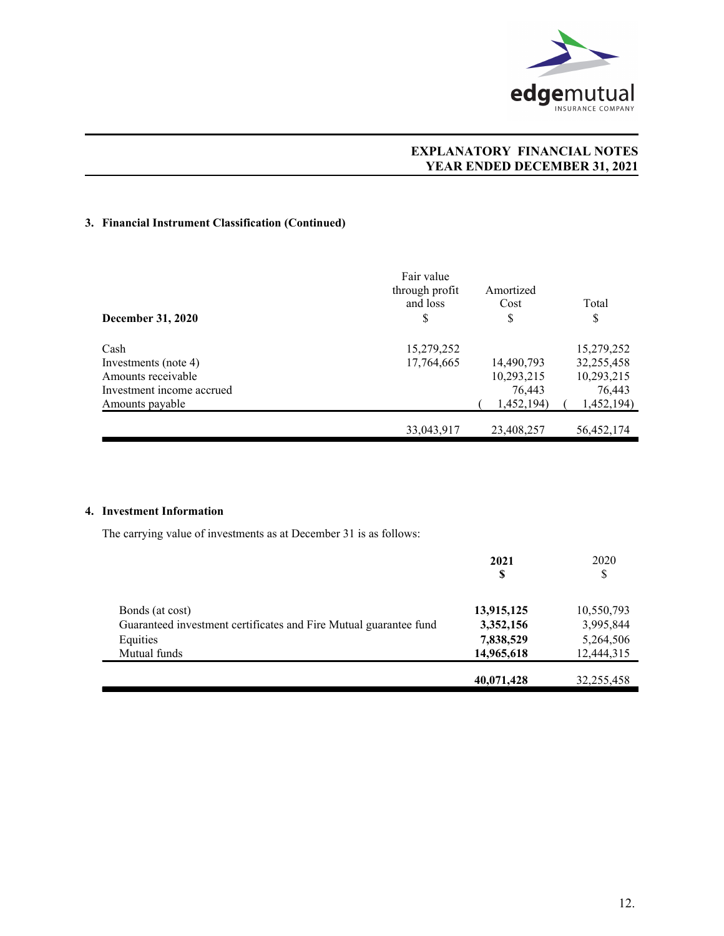

## **3. Financial Instrument Classification (Continued)**

| <b>December 31, 2020</b>  | Fair value<br>through profit<br>and loss<br>\$ | Amortized<br>Cost<br>\$ | Total<br>\$ |
|---------------------------|------------------------------------------------|-------------------------|-------------|
| Cash                      | 15,279,252                                     |                         | 15,279,252  |
| Investments (note 4)      | 17,764,665                                     | 14,490,793              | 32,255,458  |
| Amounts receivable        |                                                | 10,293,215              | 10,293,215  |
| Investment income accrued |                                                | 76,443                  | 76,443      |
| Amounts payable           |                                                | 1,452,194)              | 1,452,194)  |
|                           |                                                |                         |             |
|                           | 33,043,917                                     | 23,408,257              | 56,452,174  |

## **4. Investment Information**

The carrying value of investments as at December 31 is as follows:

|                                                                   | 2021<br>S  | 2020<br>S  |
|-------------------------------------------------------------------|------------|------------|
| Bonds (at cost)                                                   | 13,915,125 | 10,550,793 |
| Guaranteed investment certificates and Fire Mutual guarantee fund | 3,352,156  | 3,995,844  |
| Equities                                                          | 7,838,529  | 5,264,506  |
| Mutual funds                                                      | 14,965,618 | 12,444,315 |
|                                                                   | 40,071,428 | 32,255,458 |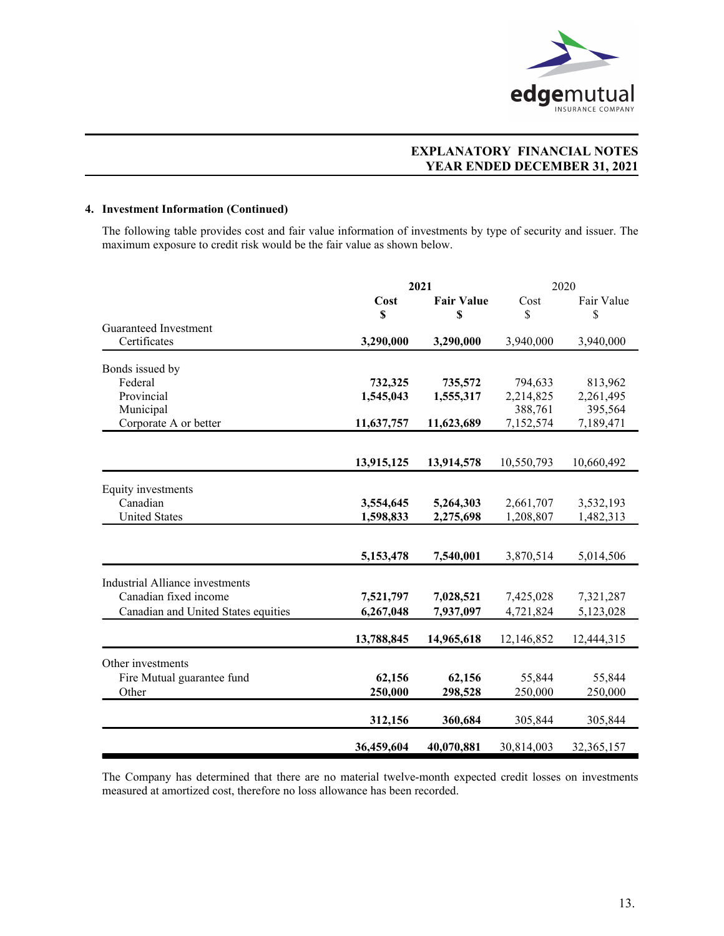

## **4. Investment Information (Continued)**

The following table provides cost and fair value information of investments by type of security and issuer. The maximum exposure to credit risk would be the fair value as shown below.

|                                     | 2021       |                   | 2020       |            |
|-------------------------------------|------------|-------------------|------------|------------|
|                                     | Cost       | <b>Fair Value</b> | Cost       | Fair Value |
|                                     | \$         | \$                | \$         | \$         |
| Guaranteed Investment               |            |                   |            |            |
| Certificates                        | 3,290,000  | 3,290,000         | 3,940,000  | 3,940,000  |
| Bonds issued by                     |            |                   |            |            |
| Federal                             | 732,325    | 735,572           | 794,633    | 813,962    |
| Provincial                          | 1,545,043  | 1,555,317         | 2,214,825  | 2,261,495  |
| Municipal                           |            |                   | 388,761    | 395,564    |
| Corporate A or better               | 11,637,757 | 11,623,689        | 7,152,574  | 7,189,471  |
|                                     |            |                   |            |            |
|                                     | 13,915,125 | 13,914,578        | 10,550,793 | 10,660,492 |
|                                     |            |                   |            |            |
| Equity investments                  |            |                   |            |            |
| Canadian                            | 3,554,645  | 5,264,303         | 2,661,707  | 3,532,193  |
| <b>United States</b>                | 1,598,833  | 2,275,698         | 1,208,807  | 1,482,313  |
|                                     |            |                   |            |            |
|                                     | 5,153,478  | 7,540,001         | 3,870,514  | 5,014,506  |
| Industrial Alliance investments     |            |                   |            |            |
| Canadian fixed income               | 7,521,797  | 7,028,521         | 7,425,028  | 7,321,287  |
| Canadian and United States equities | 6,267,048  | 7,937,097         | 4,721,824  | 5,123,028  |
|                                     |            |                   |            |            |
|                                     | 13,788,845 | 14,965,618        | 12,146,852 | 12,444,315 |
| Other investments                   |            |                   |            |            |
| Fire Mutual guarantee fund          | 62,156     | 62,156            | 55,844     | 55,844     |
| Other                               | 250,000    | 298,528           | 250,000    | 250,000    |
|                                     |            |                   |            |            |
|                                     | 312,156    | 360,684           | 305,844    | 305,844    |
|                                     | 36,459,604 | 40,070,881        | 30,814,003 | 32,365,157 |

The Company has determined that there are no material twelve-month expected credit losses on investments measured at amortized cost, therefore no loss allowance has been recorded.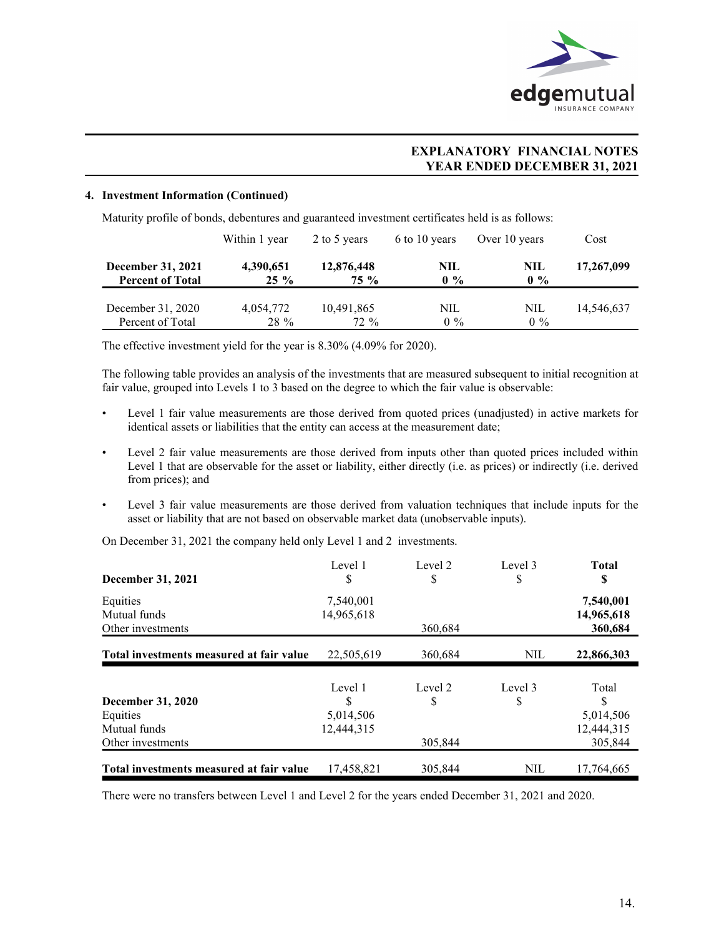

## **4. Investment Information (Continued)**

Maturity profile of bonds, debentures and guaranteed investment certificates held is as follows:

|                         | Within 1 year | 2 to 5 years | 6 to 10 years | Over 10 years | Cost       |
|-------------------------|---------------|--------------|---------------|---------------|------------|
| December 31, 2021       | 4,390,651     | 12,876,448   | NIL           | NIL           | 17,267,099 |
| <b>Percent of Total</b> | $25\%$        | $75\%$       | $0\%$         | $0\%$         |            |
| December 31, 2020       | 4,054,772     | 10,491,865   | NIL           | NIL           | 14,546,637 |
| Percent of Total        | 28 %          | $72. \%$     | $0\%$         | $0\%$         |            |

The effective investment yield for the year is 8.30% (4.09% for 2020).

The following table provides an analysis of the investments that are measured subsequent to initial recognition at fair value, grouped into Levels 1 to 3 based on the degree to which the fair value is observable:

- Level 1 fair value measurements are those derived from quoted prices (unadjusted) in active markets for identical assets or liabilities that the entity can access at the measurement date;
- Level 2 fair value measurements are those derived from inputs other than quoted prices included within Level 1 that are observable for the asset or liability, either directly (i.e. as prices) or indirectly (i.e. derived from prices); and
- Level 3 fair value measurements are those derived from valuation techniques that include inputs for the asset or liability that are not based on observable market data (unobservable inputs).

On December 31, 2021 the company held only Level 1 and 2 investments.

| <b>December 31, 2021</b>                      | Level 1<br>\$           | Level 2<br>\$ | Level 3<br>S | Total<br>S                         |
|-----------------------------------------------|-------------------------|---------------|--------------|------------------------------------|
| Equities<br>Mutual funds<br>Other investments | 7,540,001<br>14,965,618 | 360,684       |              | 7,540,001<br>14,965,618<br>360,684 |
| Total investments measured at fair value      | 22,505,619              | 360,684       | NIL          | 22,866,303                         |
|                                               | Level 1                 | Level 2       | Level 3      | Total                              |
| <b>December 31, 2020</b>                      | \$                      | \$            | S            | \$                                 |
| Equities                                      | 5,014,506               |               |              | 5,014,506                          |
| Mutual funds                                  | 12.444.315              |               |              | 12,444,315                         |
| Other investments                             |                         | 305,844       |              | 305,844                            |
| Total investments measured at fair value      | 17,458,821              | 305,844       | NIL          | 17.764.665                         |

There were no transfers between Level 1 and Level 2 for the years ended December 31, 2021 and 2020.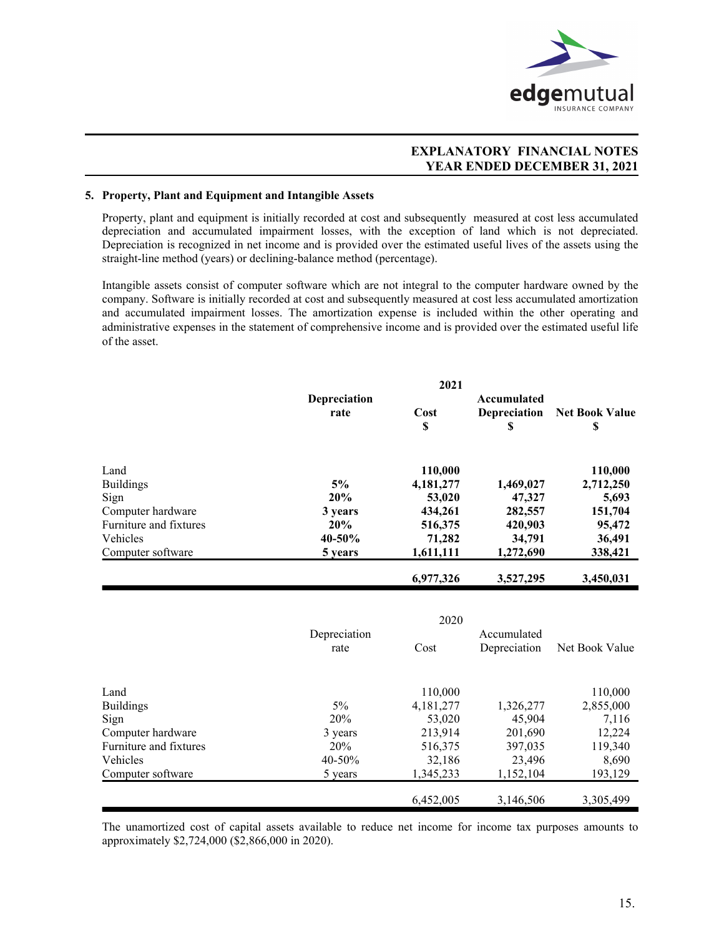

## **5. Property, Plant and Equipment and Intangible Assets**

Property, plant and equipment is initially recorded at cost and subsequently measured at cost less accumulated depreciation and accumulated impairment losses, with the exception of land which is not depreciated. Depreciation is recognized in net income and is provided over the estimated useful lives of the assets using the straight-line method (years) or declining-balance method (percentage).

Intangible assets consist of computer software which are not integral to the computer hardware owned by the company. Software is initially recorded at cost and subsequently measured at cost less accumulated amortization and accumulated impairment losses. The amortization expense is included within the other operating and administrative expenses in the statement of comprehensive income and is provided over the estimated useful life of the asset.

|                      | 2021         |                             |                       |
|----------------------|--------------|-----------------------------|-----------------------|
| Depreciation         |              | Accumulated                 |                       |
| rate                 | Cost         | Depreciation                | <b>Net Book Value</b> |
|                      | \$           | \$                          | S                     |
|                      | 110,000      |                             | 110,000               |
| 5%                   | 4,181,277    | 1,469,027                   | 2,712,250             |
| 20%                  | 53,020       | 47,327                      | 5,693                 |
| 3 years              | 434,261      | 282,557                     | 151,704               |
| 20%                  | 516,375      | 420,903                     | 95,472                |
| 40-50%               | 71,282       | 34,791                      | 36,491                |
| 5 years              | 1,611,111    | 1,272,690                   | 338,421               |
|                      | 6,977,326    | 3,527,295                   | 3,450,031             |
| Depreciation<br>rate | 2020<br>Cost | Accumulated<br>Depreciation | Net Book Value        |
|                      |              |                             |                       |

| Land                   |             | 110,000     |           | 110,000   |
|------------------------|-------------|-------------|-----------|-----------|
| <b>Buildings</b>       | 5%          | 4, 181, 277 | 1,326,277 | 2,855,000 |
| Sign                   | 20%         | 53,020      | 45,904    | 7,116     |
| Computer hardware      | 3 years     | 213,914     | 201,690   | 12,224    |
| Furniture and fixtures | 20%         | 516,375     | 397,035   | 119,340   |
| Vehicles               | $40 - 50\%$ | 32,186      | 23,496    | 8,690     |
| Computer software      | 5 years     | 1,345,233   | 1,152,104 | 193,129   |
|                        |             |             |           |           |
|                        |             | 6,452,005   | 3,146,506 | 3,305,499 |

The unamortized cost of capital assets available to reduce net income for income tax purposes amounts to approximately \$2,724,000 (\$2,866,000 in 2020).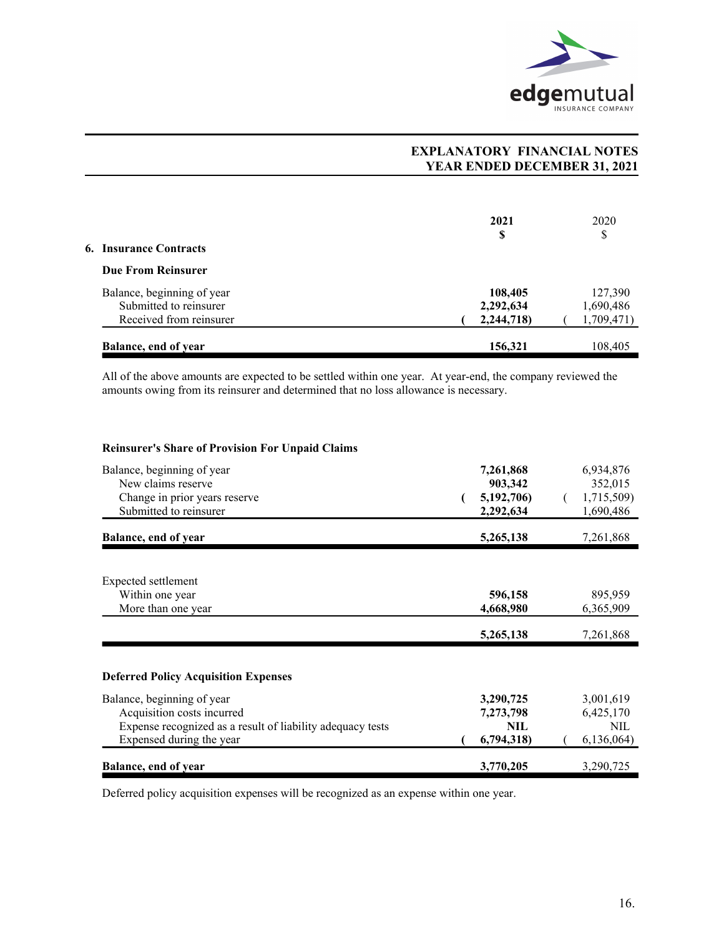

| <b>6. Insurance Contracts</b> | 2021<br>S  | 2020<br>\$ |
|-------------------------------|------------|------------|
| <b>Due From Reinsurer</b>     |            |            |
| Balance, beginning of year    | 108,405    | 127,390    |
| Submitted to reinsurer        | 2,292,634  | 1,690,486  |
| Received from reinsurer       | 2,244,718) | 1,709,471) |
| Balance, end of year          | 156,321    | 108,405    |

All of the above amounts are expected to be settled within one year. At year-end, the company reviewed the amounts owing from its reinsurer and determined that no loss allowance is necessary.

## **Reinsurer's Share of Provision For Unpaid Claims**

| Balance, beginning of year<br>New claims reserve<br>Change in prior years reserve<br>Submitted to reinsurer | 7,261,868<br>903,342<br>5,192,706)<br>2,292,634 | 6,934,876<br>352,015<br>1,715,509)<br>1,690,486 |
|-------------------------------------------------------------------------------------------------------------|-------------------------------------------------|-------------------------------------------------|
| Balance, end of year                                                                                        | 5,265,138                                       | 7,261,868                                       |
|                                                                                                             |                                                 |                                                 |
| Expected settlement                                                                                         |                                                 |                                                 |
| Within one year                                                                                             | 596,158                                         | 895,959                                         |
| More than one year                                                                                          | 4,668,980                                       | 6,365,909                                       |
|                                                                                                             | 5,265,138                                       | 7,261,868                                       |
| <b>Deferred Policy Acquisition Expenses</b>                                                                 |                                                 |                                                 |
| Balance, beginning of year                                                                                  | 3,290,725                                       | 3,001,619                                       |
| Acquisition costs incurred                                                                                  | 7,273,798                                       | 6,425,170                                       |
| Expense recognized as a result of liability adequacy tests                                                  | NIL                                             | NIL                                             |
| Expensed during the year                                                                                    | 6,794,318)                                      | 6,136,064                                       |
| Balance, end of year                                                                                        | 3,770,205                                       | 3,290,725                                       |

Deferred policy acquisition expenses will be recognized as an expense within one year.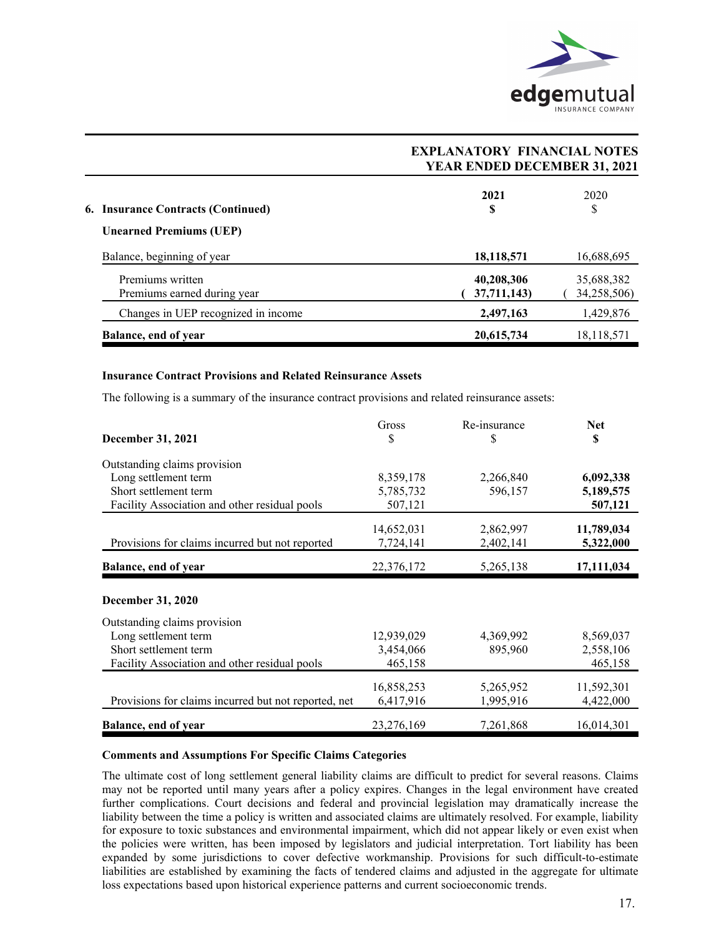

|                                                                               | <b>EXPLANATORY FINANCIAL NOTES</b><br><b>YEAR ENDED DECEMBER 31, 2021</b> |                                         |
|-------------------------------------------------------------------------------|---------------------------------------------------------------------------|-----------------------------------------|
| <b>6. Insurance Contracts (Continued)</b>                                     | 2021<br>S                                                                 | 2020<br>S                               |
| <b>Unearned Premiums (UEP)</b>                                                |                                                                           |                                         |
| Balance, beginning of year<br>Premiums written<br>Premiums earned during year | 18,118,571<br>40,208,306<br>37,711,143)                                   | 16,688,695<br>35,688,382<br>34,258,506) |
| Changes in UEP recognized in income                                           | 2,497,163                                                                 | 1,429,876                               |
| Balance, end of year                                                          | 20,615,734                                                                | 18,118,571                              |

#### **Insurance Contract Provisions and Related Reinsurance Assets**

The following is a summary of the insurance contract provisions and related reinsurance assets:

| <b>December 31, 2021</b>                             | Gross<br>\$ | Re-insurance<br>\$ | <b>Net</b><br>\$ |
|------------------------------------------------------|-------------|--------------------|------------------|
| Outstanding claims provision                         |             |                    |                  |
| Long settlement term                                 | 8,359,178   | 2,266,840          | 6,092,338        |
| Short settlement term                                | 5,785,732   | 596,157            | 5,189,575        |
| Facility Association and other residual pools        | 507,121     |                    | 507,121          |
|                                                      | 14,652,031  | 2,862,997          | 11,789,034       |
| Provisions for claims incurred but not reported      | 7,724,141   | 2,402,141          | 5,322,000        |
| Balance, end of year                                 | 22,376,172  | 5,265,138          | 17,111,034       |
| <b>December 31, 2020</b>                             |             |                    |                  |
| Outstanding claims provision                         |             |                    |                  |
| Long settlement term                                 | 12,939,029  | 4,369,992          | 8,569,037        |
| Short settlement term                                | 3,454,066   | 895,960            | 2,558,106        |
| Facility Association and other residual pools        | 465,158     |                    | 465,158          |
|                                                      | 16,858,253  | 5,265,952          | 11,592,301       |
| Provisions for claims incurred but not reported, net | 6,417,916   | 1,995,916          | 4,422,000        |
| Balance, end of year                                 | 23,276,169  | 7,261,868          | 16,014,301       |

#### **Comments and Assumptions For Specific Claims Categories**

The ultimate cost of long settlement general liability claims are difficult to predict for several reasons. Claims may not be reported until many years after a policy expires. Changes in the legal environment have created further complications. Court decisions and federal and provincial legislation may dramatically increase the liability between the time a policy is written and associated claims are ultimately resolved. For example, liability for exposure to toxic substances and environmental impairment, which did not appear likely or even exist when the policies were written, has been imposed by legislators and judicial interpretation. Tort liability has been expanded by some jurisdictions to cover defective workmanship. Provisions for such difficult-to-estimate liabilities are established by examining the facts of tendered claims and adjusted in the aggregate for ultimate loss expectations based upon historical experience patterns and current socioeconomic trends.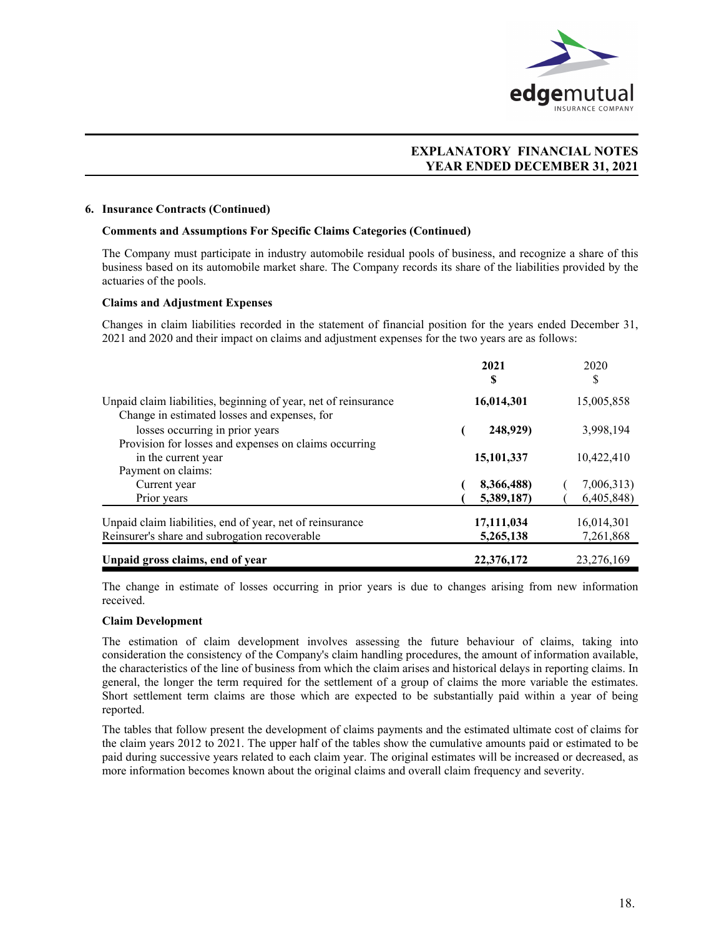

## **6. Insurance Contracts (Continued)**

#### **Comments and Assumptions For Specific Claims Categories (Continued)**

The Company must participate in industry automobile residual pools of business, and recognize a share of this business based on its automobile market share. The Company records its share of the liabilities provided by the actuaries of the pools.

#### **Claims and Adjustment Expenses**

Changes in claim liabilities recorded in the statement of financial position for the years ended December 31, 2021 and 2020 and their impact on claims and adjustment expenses for the two years are as follows:

|                                                                                                                 | 2021<br>S               | 2020<br>S               |
|-----------------------------------------------------------------------------------------------------------------|-------------------------|-------------------------|
| Unpaid claim liabilities, beginning of year, net of reinsurance<br>Change in estimated losses and expenses, for | 16,014,301              | 15,005,858              |
| losses occurring in prior years                                                                                 | 248,929)                | 3,998,194               |
| Provision for losses and expenses on claims occurring<br>in the current year<br>Payment on claims:              | 15,101,337              | 10,422,410              |
| Current year                                                                                                    | 8,366,488)              | 7,006,313)              |
| Prior years                                                                                                     | 5,389,187)              | 6,405,848)              |
| Unpaid claim liabilities, end of year, net of reinsurance<br>Reinsurer's share and subrogation recoverable      | 17,111,034<br>5,265,138 | 16,014,301<br>7,261,868 |
| Unpaid gross claims, end of year                                                                                | 22,376,172              | 23,276,169              |

The change in estimate of losses occurring in prior years is due to changes arising from new information received.

#### **Claim Development**

The estimation of claim development involves assessing the future behaviour of claims, taking into consideration the consistency of the Company's claim handling procedures, the amount of information available, the characteristics of the line of business from which the claim arises and historical delays in reporting claims. In general, the longer the term required for the settlement of a group of claims the more variable the estimates. Short settlement term claims are those which are expected to be substantially paid within a year of being reported.

The tables that follow present the development of claims payments and the estimated ultimate cost of claims for the claim years 2012 to 2021. The upper half of the tables show the cumulative amounts paid or estimated to be paid during successive years related to each claim year. The original estimates will be increased or decreased, as more information becomes known about the original claims and overall claim frequency and severity.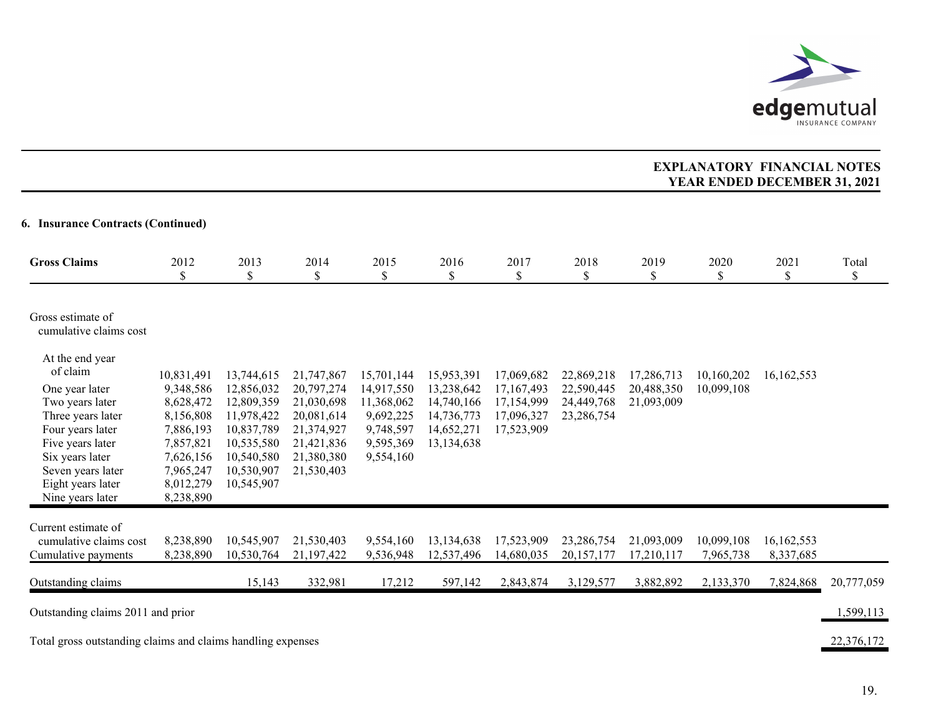

## **6. Insurance Contracts (Continued)**

| <b>Claims</b><br>Gross | 2012 | 2013 | 2014 | 2015 | 2016 | 2017 | 2018 | 2019 | 2020 | 2021 | $\overline{ }$<br>Fotal |
|------------------------|------|------|------|------|------|------|------|------|------|------|-------------------------|
|                        |      |      |      |      |      |      |      |      |      |      |                         |

Gross estimate of

cumulative claims cost

| At the end year                   |            |            |            |            |              |            |            |            |            |            |            |
|-----------------------------------|------------|------------|------------|------------|--------------|------------|------------|------------|------------|------------|------------|
| of claim                          | 10,831,491 | 13,744,615 | 21,747,867 | 15,701,144 | 15,953,391   | 17,069,682 | 22,869,218 | 17,286,713 | 10,160,202 | 16,162,553 |            |
| One year later                    | 9,348,586  | 12,856,032 | 20,797,274 | 14,917,550 | 13,238,642   | 17,167,493 | 22,590,445 | 20,488,350 | 10,099,108 |            |            |
| Two years later                   | 8,628,472  | 12,809,359 | 21,030,698 | 11,368,062 | 14,740,166   | 17,154,999 | 24,449,768 | 21,093,009 |            |            |            |
| Three years later                 | 8,156,808  | 11,978,422 | 20,081,614 | 9,692,225  | 14,736,773   | 17,096,327 | 23,286,754 |            |            |            |            |
| Four years later                  | 7,886,193  | 10,837,789 | 21,374,927 | 9,748,597  | 14,652,271   | 17,523,909 |            |            |            |            |            |
| Five years later                  | 7,857,821  | 10,535,580 | 21,421,836 | 9,595,369  | 13,134,638   |            |            |            |            |            |            |
| Six years later                   | 7,626,156  | 10,540,580 | 21,380,380 | 9,554,160  |              |            |            |            |            |            |            |
| Seven years later                 | 7,965,247  | 10,530,907 | 21,530,403 |            |              |            |            |            |            |            |            |
| Eight years later                 | 8,012,279  | 10,545,907 |            |            |              |            |            |            |            |            |            |
| Nine years later                  | 8,238,890  |            |            |            |              |            |            |            |            |            |            |
| Current estimate of               |            |            |            |            |              |            |            |            |            |            |            |
| cumulative claims cost            | 8,238,890  | 10,545,907 | 21,530,403 | 9,554,160  | 13, 134, 638 | 17,523,909 | 23,286,754 | 21,093,009 | 10,099,108 | 16,162,553 |            |
| Cumulative payments               | 8,238,890  | 10,530,764 | 21,197,422 | 9,536,948  | 12,537,496   | 14,680,035 | 20,157,177 | 17,210,117 | 7,965,738  | 8,337,685  |            |
| Outstanding claims                |            | 15,143     | 332,981    | 17,212     | 597,142      | 2,843,874  | 3,129,577  | 3,882,892  | 2,133,370  | 7,824,868  | 20,777,059 |
| Outstanding claims 2011 and prior |            |            |            |            |              |            |            |            |            |            | 1,599,113  |

Total gross outstanding claims and claims handling expenses 22,376,172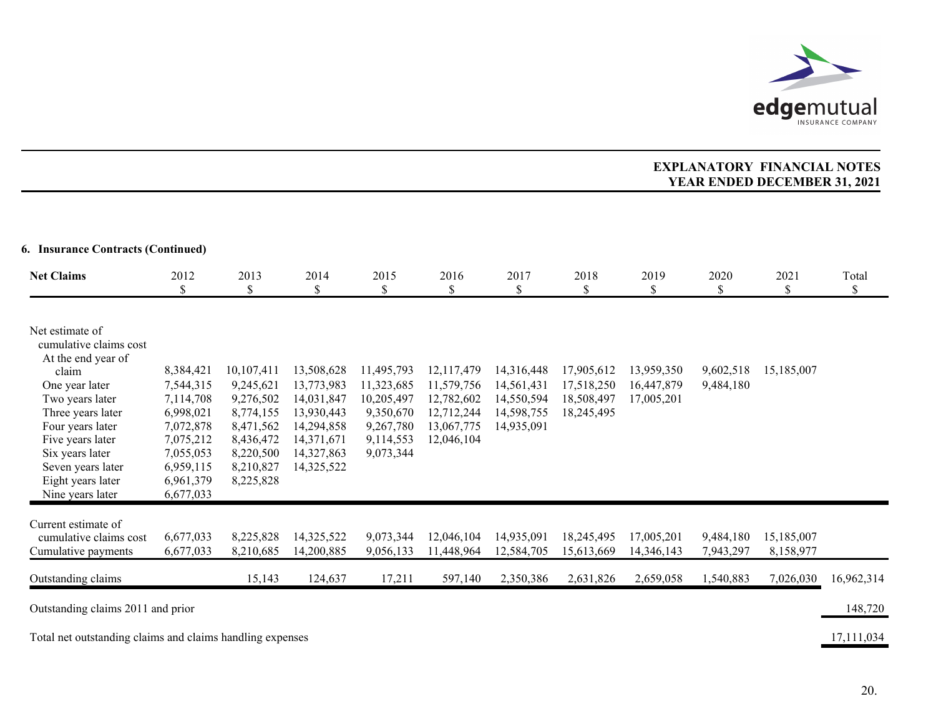

| <b>Net Claims</b>      | 2012<br>\$ | 2013<br>\$ | 2014<br>\$ | 2015<br>\$ | 2016<br>\$ | 2017<br>\$ | 2018<br>\$ | 2019<br>\$ | 2020<br>\$ | 2021<br>\$ | Total<br>\$ |
|------------------------|------------|------------|------------|------------|------------|------------|------------|------------|------------|------------|-------------|
| Net estimate of        |            |            |            |            |            |            |            |            |            |            |             |
| cumulative claims cost |            |            |            |            |            |            |            |            |            |            |             |
| At the end year of     |            |            |            |            |            |            |            |            |            |            |             |
| claim                  | 8,384,421  | 10,107,411 | 13,508,628 | 11,495,793 | 12,117,479 | 14,316,448 | 17,905,612 | 13,959,350 | 9,602,518  | 15,185,007 |             |
| One year later         | 7,544,315  | 9,245,621  | 13,773,983 | 11,323,685 | 11,579,756 | 14,561,431 | 17,518,250 | 16,447,879 | 9,484,180  |            |             |
| Two years later        | 7,114,708  | 9,276,502  | 14,031,847 | 10,205,497 | 12,782,602 | 14,550,594 | 18,508,497 | 17,005,201 |            |            |             |
| Three years later      | 6,998,021  | 8,774,155  | 13,930,443 | 9,350,670  | 12,712,244 | 14,598,755 | 18,245,495 |            |            |            |             |
| Four years later       | 7,072,878  | 8,471,562  | 14,294,858 | 9,267,780  | 13,067,775 | 14,935,091 |            |            |            |            |             |
| Five years later       | 7,075,212  | 8,436,472  | 14,371,671 | 9,114,553  | 12,046,104 |            |            |            |            |            |             |
| Six years later        | 7,055,053  | 8,220,500  | 14,327,863 | 9,073,344  |            |            |            |            |            |            |             |
| Seven years later      | 6,959,115  | 8,210,827  | 14,325,522 |            |            |            |            |            |            |            |             |
| Eight years later      | 6,961,379  | 8,225,828  |            |            |            |            |            |            |            |            |             |
| Nine years later       | 6,677,033  |            |            |            |            |            |            |            |            |            |             |
| Current estimate of    |            |            |            |            |            |            |            |            |            |            |             |
| cumulative claims cost | 6,677,033  | 8,225,828  | 14,325,522 | 9,073,344  | 12,046,104 | 14,935,091 | 18,245,495 | 17,005,201 | 9,484,180  | 15,185,007 |             |
| Cumulative payments    | 6,677,033  | 8,210,685  | 14,200,885 | 9,056,133  | 11,448,964 | 12,584,705 | 15,613,669 | 14,346,143 | 7,943,297  | 8,158,977  |             |
| Outstanding claims     |            | 15,143     | 124,637    | 17,211     | 597,140    | 2,350,386  | 2,631,826  | 2,659,058  | 1,540,883  | 7,026,030  | 16,962,314  |

Total net outstanding claims and claims handling expenses 17,111,034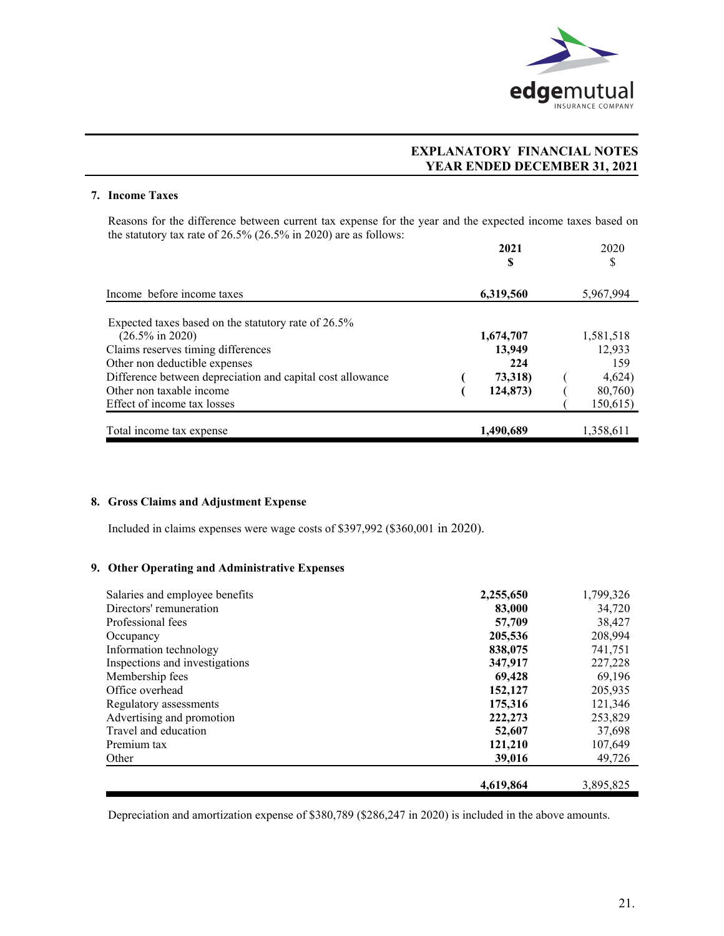

## **7. Income Taxes**

Reasons for the difference between current tax expense for the year and the expected income taxes based on the statutory tax rate of 26.5% (26.5% in 2020) are as follows:

|                                                            | 2021<br>\$ | 2020      |
|------------------------------------------------------------|------------|-----------|
| Income before income taxes                                 | 6,319,560  | 5,967,994 |
| Expected taxes based on the statutory rate of 26.5%        |            |           |
| $(26.5\% \text{ in } 2020)$                                | 1,674,707  | 1,581,518 |
| Claims reserves timing differences                         | 13,949     | 12,933    |
| Other non deductible expenses                              | 224        | 159       |
| Difference between depreciation and capital cost allowance | 73,318)    | 4,624)    |
| Other non taxable income                                   | 124,873)   | 80,760)   |
| Effect of income tax losses                                |            | 150,615)  |
| Total income tax expense                                   | 1,490,689  | 1,358,611 |

## **8. Gross Claims and Adjustment Expense**

Included in claims expenses were wage costs of \$397,992 (\$360,001 in 2020).

## **9. Other Operating and Administrative Expenses**

| Salaries and employee benefits | 2,255,650 | 1,799,326 |
|--------------------------------|-----------|-----------|
| Directors' remuneration        | 83,000    | 34,720    |
| Professional fees              | 57,709    | 38,427    |
| Occupancy                      | 205,536   | 208,994   |
| Information technology         | 838,075   | 741,751   |
| Inspections and investigations | 347,917   | 227,228   |
| Membership fees                | 69.428    | 69,196    |
| Office overhead                | 152,127   | 205,935   |
| Regulatory assessments         | 175,316   | 121,346   |
| Advertising and promotion      | 222,273   | 253,829   |
| Travel and education           | 52,607    | 37,698    |
| Premium tax                    | 121,210   | 107,649   |
| Other                          | 39,016    | 49.726    |
|                                | 4,619,864 | 3,895,825 |

Depreciation and amortization expense of \$380,789 (\$286,247 in 2020) is included in the above amounts.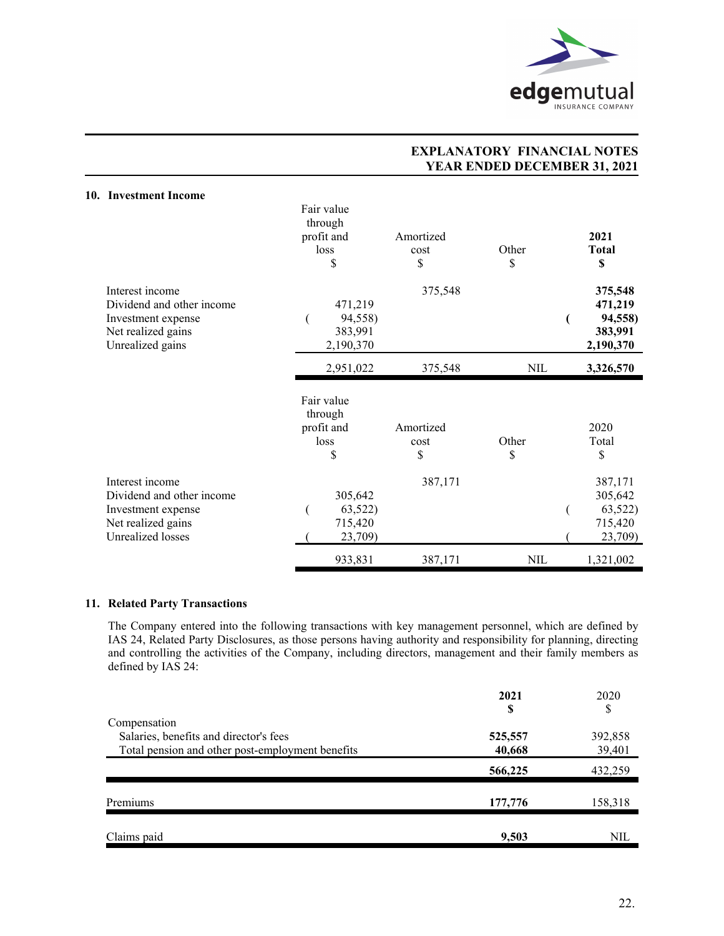

**EXPLANATORY FINANCIAL NOTES**

# **10. Investment Income** Fair value through profit and Amortized **2021** loss cost Other **Total** \$ \$ \$ **\$** Interest income 375,548 **375,548** Dividend and other income 471,219 **471,219** Investment expense ( 94,558) **( 94,558)** Net realized gains 383,991 **383,991** Unrealized gains 2,190,370 **2,190,370 2,190,370** 2,951,022 375,548 NIL **3,326,570** Fair value through profit and Amortized 2020 loss cost Other Total  $\begin{array}{ccc} \texttt{\$} & \texttt{\$} & \texttt{\$} & \texttt{\$} \end{array}$ Interest income 387,171 387,171 387,171 Dividend and other income 305,642 305,642 305,642 Investment expense ( 63,522) ( 63,522) Net realized gains 715,420 715,420 715,420 715,420 Unrealized losses ( 23,709) ( 23,709) ( 23,709) 933,831 387,171 NIL 1,321,002

# **YEAR ENDED DECEMBER 31, 2021**

## **11. Related Party Transactions**

The Company entered into the following transactions with key management personnel, which are defined by IAS 24, Related Party Disclosures, as those persons having authority and responsibility for planning, directing and controlling the activities of the Company, including directors, management and their family members as defined by IAS 24:

|                                                  | 2021<br>\$ | 2020<br>\$ |
|--------------------------------------------------|------------|------------|
| Compensation                                     |            |            |
| Salaries, benefits and director's fees           | 525,557    | 392,858    |
| Total pension and other post-employment benefits | 40,668     | 39,401     |
|                                                  | 566,225    | 432,259    |
| Premiums                                         | 177,776    | 158,318    |
| Claims paid                                      | 9,503      | NIL        |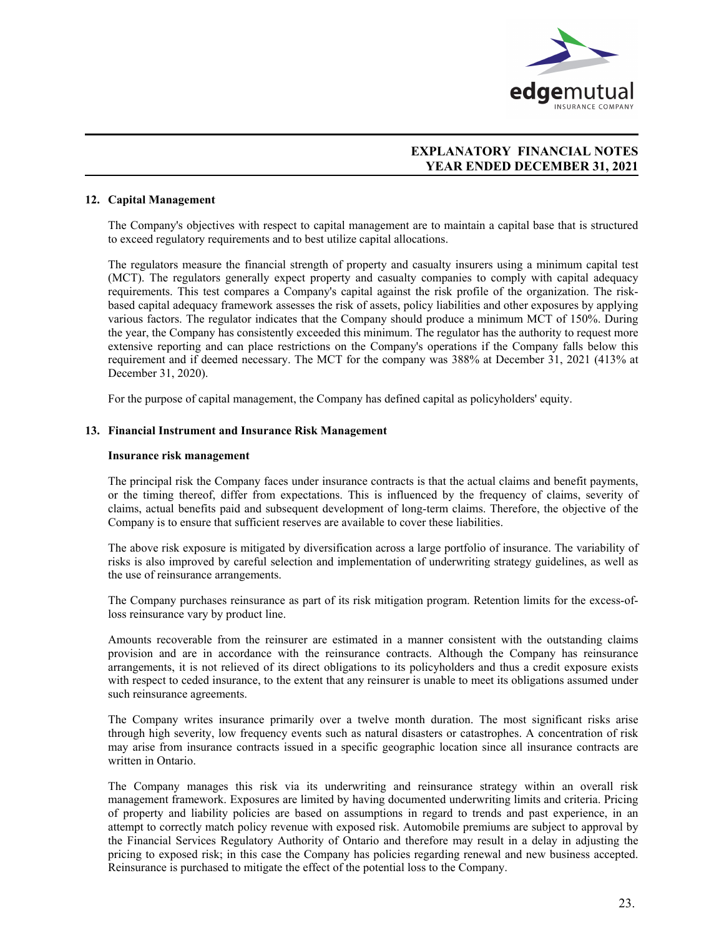

#### **12. Capital Management**

The Company's objectives with respect to capital management are to maintain a capital base that is structured to exceed regulatory requirements and to best utilize capital allocations.

The regulators measure the financial strength of property and casualty insurers using a minimum capital test (MCT). The regulators generally expect property and casualty companies to comply with capital adequacy requirements. This test compares a Company's capital against the risk profile of the organization. The riskbased capital adequacy framework assesses the risk of assets, policy liabilities and other exposures by applying various factors. The regulator indicates that the Company should produce a minimum MCT of 150%. During the year, the Company has consistently exceeded this minimum. The regulator has the authority to request more extensive reporting and can place restrictions on the Company's operations if the Company falls below this requirement and if deemed necessary. The MCT for the company was 388% at December 31, 2021 (413% at December 31, 2020).

For the purpose of capital management, the Company has defined capital as policyholders' equity.

#### **13. Financial Instrument and Insurance Risk Management**

#### **Insurance risk management**

The principal risk the Company faces under insurance contracts is that the actual claims and benefit payments, or the timing thereof, differ from expectations. This is influenced by the frequency of claims, severity of claims, actual benefits paid and subsequent development of long-term claims. Therefore, the objective of the Company is to ensure that sufficient reserves are available to cover these liabilities.

The above risk exposure is mitigated by diversification across a large portfolio of insurance. The variability of risks is also improved by careful selection and implementation of underwriting strategy guidelines, as well as the use of reinsurance arrangements.

The Company purchases reinsurance as part of its risk mitigation program. Retention limits for the excess-ofloss reinsurance vary by product line.

Amounts recoverable from the reinsurer are estimated in a manner consistent with the outstanding claims provision and are in accordance with the reinsurance contracts. Although the Company has reinsurance arrangements, it is not relieved of its direct obligations to its policyholders and thus a credit exposure exists with respect to ceded insurance, to the extent that any reinsurer is unable to meet its obligations assumed under such reinsurance agreements.

The Company writes insurance primarily over a twelve month duration. The most significant risks arise through high severity, low frequency events such as natural disasters or catastrophes. A concentration of risk may arise from insurance contracts issued in a specific geographic location since all insurance contracts are written in Ontario.

The Company manages this risk via its underwriting and reinsurance strategy within an overall risk management framework. Exposures are limited by having documented underwriting limits and criteria. Pricing of property and liability policies are based on assumptions in regard to trends and past experience, in an attempt to correctly match policy revenue with exposed risk. Automobile premiums are subject to approval by the Financial Services Regulatory Authority of Ontario and therefore may result in a delay in adjusting the pricing to exposed risk; in this case the Company has policies regarding renewal and new business accepted. Reinsurance is purchased to mitigate the effect of the potential loss to the Company.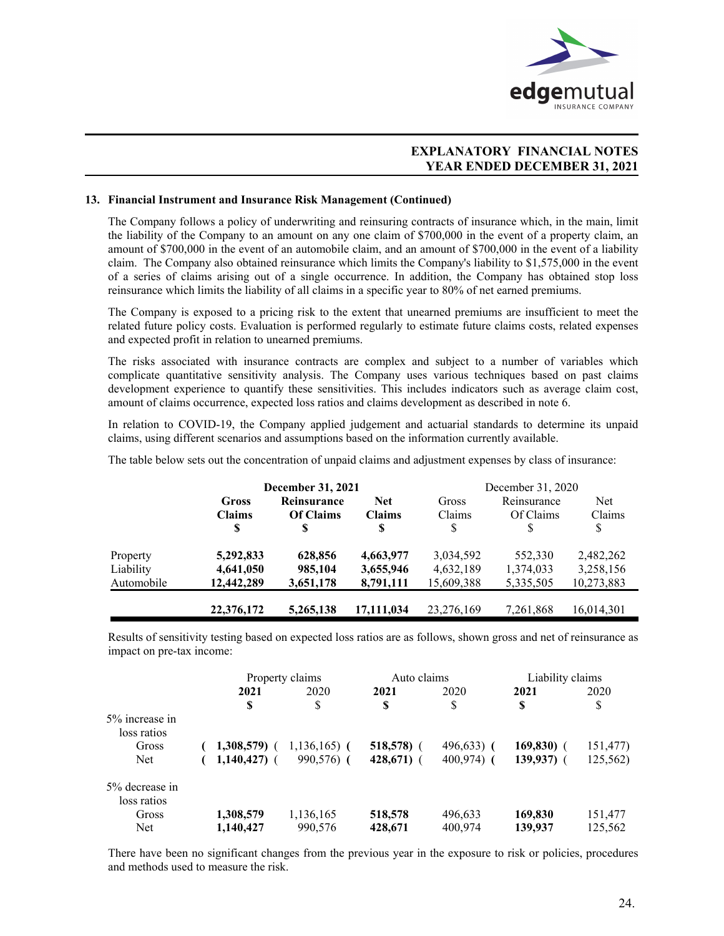

#### **13. Financial Instrument and Insurance Risk Management (Continued)**

The Company follows a policy of underwriting and reinsuring contracts of insurance which, in the main, limit the liability of the Company to an amount on any one claim of \$700,000 in the event of a property claim, an amount of \$700,000 in the event of an automobile claim, and an amount of \$700,000 in the event of a liability claim. The Company also obtained reinsurance which limits the Company's liability to \$1,575,000 in the event of a series of claims arising out of a single occurrence. In addition, the Company has obtained stop loss reinsurance which limits the liability of all claims in a specific year to 80% of net earned premiums.

The Company is exposed to a pricing risk to the extent that unearned premiums are insufficient to meet the related future policy costs. Evaluation is performed regularly to estimate future claims costs, related expenses and expected profit in relation to unearned premiums.

The risks associated with insurance contracts are complex and subject to a number of variables which complicate quantitative sensitivity analysis. The Company uses various techniques based on past claims development experience to quantify these sensitivities. This includes indicators such as average claim cost, amount of claims occurrence, expected loss ratios and claims development as described in note 6.

In relation to COVID-19, the Company applied judgement and actuarial standards to determine its unpaid claims, using different scenarios and assumptions based on the information currently available.

The table below sets out the concentration of unpaid claims and adjustment expenses by class of insurance:

|            | <b>December 31, 2021</b> |                  |               | December 31, 2020 |             |            |  |
|------------|--------------------------|------------------|---------------|-------------------|-------------|------------|--|
|            | Gross                    | Reinsurance      | <b>Net</b>    | Gross             | Reinsurance | <b>Net</b> |  |
|            | <b>Claims</b>            | <b>Of Claims</b> | <b>Claims</b> | Claims            | Of Claims   | Claims     |  |
|            | S                        | S                | S             | S                 | S           | \$         |  |
| Property   | 5,292,833                | 628,856          | 4,663,977     | 3,034,592         | 552,330     | 2,482,262  |  |
| Liability  | 4,641,050                | 985,104          | 3,655,946     | 4,632,189         | 1,374,033   | 3,258,156  |  |
| Automobile | 12,442,289               | 3,651,178        | 8,791,111     | 15,609,388        | 5,335,505   | 10,273,883 |  |
|            | 22,376,172               | 5,265,138        | 17,111,034    | 23,276,169        | 7,261,868   | 16,014,301 |  |

Results of sensitivity testing based on expected loss ratios are as follows, shown gross and net of reinsurance as impact on pre-tax income:

|                               | Property claims |               | Auto claims   |             | Liability claims |          |
|-------------------------------|-----------------|---------------|---------------|-------------|------------------|----------|
|                               | 2021            | 2020          | 2021          | 2020        | 2021             | 2020     |
|                               | S               | \$            | S             | S           | S                | S        |
| 5% increase in<br>loss ratios |                 |               |               |             |                  |          |
| Gross                         | $1,308,579$ (   | $1,136,165$ ( | $518,578$ ) ( | 496,633) (  | $169,830$ (      | 151,477) |
| <b>Net</b>                    | $1,140,427$ (   | 990,576) (    | $428,671$ (   | $400,974$ ( | $139,937)$ (     | 125,562) |
| 5% decrease in<br>loss ratios |                 |               |               |             |                  |          |
| Gross                         | 1,308,579       | 1,136,165     | 518,578       | 496,633     | 169,830          | 151,477  |
| <b>Net</b>                    | 1,140,427       | 990,576       | 428,671       | 400,974     | 139,937          | 125,562  |

There have been no significant changes from the previous year in the exposure to risk or policies, procedures and methods used to measure the risk.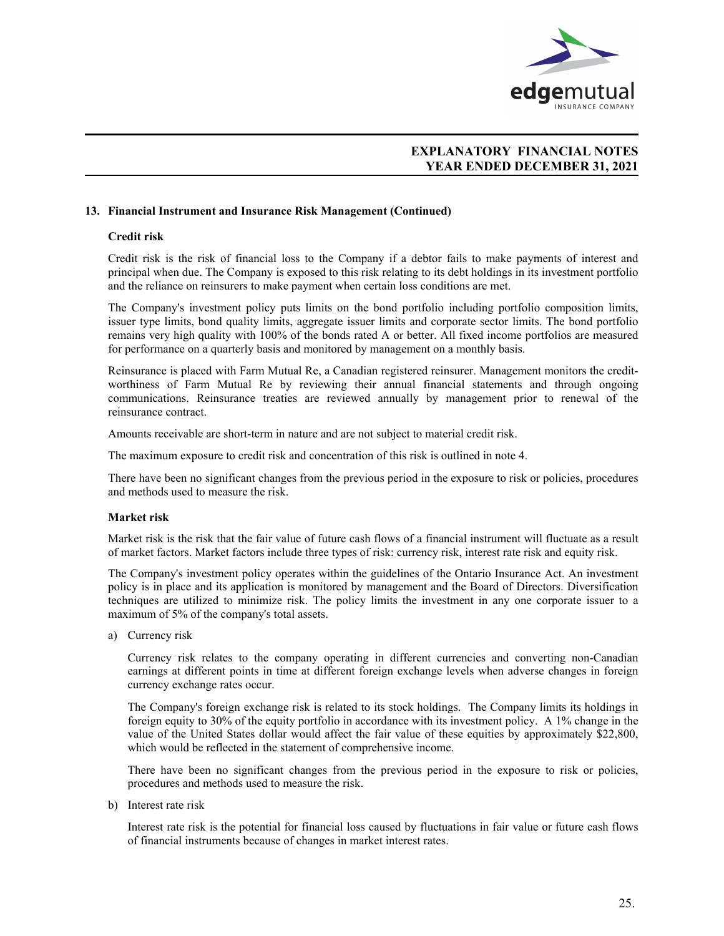

#### **13. Financial Instrument and Insurance Risk Management (Continued)**

#### **Credit risk**

Credit risk is the risk of financial loss to the Company if a debtor fails to make payments of interest and principal when due. The Company is exposed to this risk relating to its debt holdings in its investment portfolio and the reliance on reinsurers to make payment when certain loss conditions are met.

The Company's investment policy puts limits on the bond portfolio including portfolio composition limits, issuer type limits, bond quality limits, aggregate issuer limits and corporate sector limits. The bond portfolio remains very high quality with 100% of the bonds rated A or better. All fixed income portfolios are measured for performance on a quarterly basis and monitored by management on a monthly basis.

Reinsurance is placed with Farm Mutual Re, a Canadian registered reinsurer. Management monitors the creditworthiness of Farm Mutual Re by reviewing their annual financial statements and through ongoing communications. Reinsurance treaties are reviewed annually by management prior to renewal of the reinsurance contract.

Amounts receivable are short-term in nature and are not subject to material credit risk.

The maximum exposure to credit risk and concentration of this risk is outlined in note 4.

There have been no significant changes from the previous period in the exposure to risk or policies, procedures and methods used to measure the risk.

## **Market risk**

Market risk is the risk that the fair value of future cash flows of a financial instrument will fluctuate as a result of market factors. Market factors include three types of risk: currency risk, interest rate risk and equity risk.

The Company's investment policy operates within the guidelines of the Ontario Insurance Act. An investment policy is in place and its application is monitored by management and the Board of Directors. Diversification techniques are utilized to minimize risk. The policy limits the investment in any one corporate issuer to a maximum of 5% of the company's total assets.

a) Currency risk

Currency risk relates to the company operating in different currencies and converting non-Canadian earnings at different points in time at different foreign exchange levels when adverse changes in foreign currency exchange rates occur.

The Company's foreign exchange risk is related to its stock holdings. The Company limits its holdings in foreign equity to 30% of the equity portfolio in accordance with its investment policy. A 1% change in the value of the United States dollar would affect the fair value of these equities by approximately \$22,800, which would be reflected in the statement of comprehensive income.

There have been no significant changes from the previous period in the exposure to risk or policies, procedures and methods used to measure the risk.

b) Interest rate risk

Interest rate risk is the potential for financial loss caused by fluctuations in fair value or future cash flows of financial instruments because of changes in market interest rates.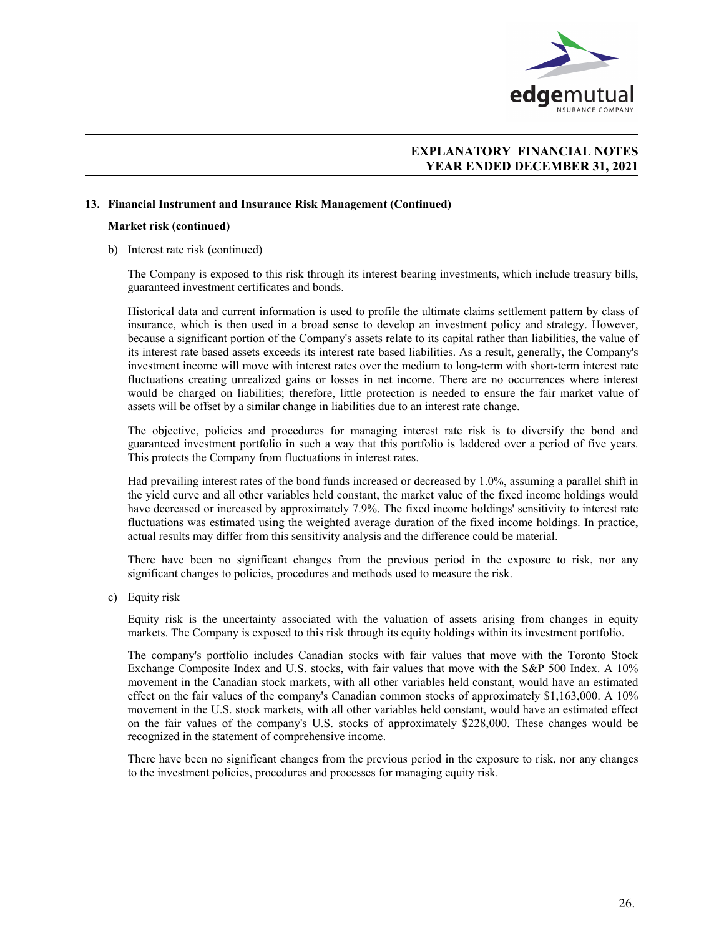

## **13. Financial Instrument and Insurance Risk Management (Continued)**

#### **Market risk (continued)**

b) Interest rate risk (continued)

The Company is exposed to this risk through its interest bearing investments, which include treasury bills, guaranteed investment certificates and bonds.

Historical data and current information is used to profile the ultimate claims settlement pattern by class of insurance, which is then used in a broad sense to develop an investment policy and strategy. However, because a significant portion of the Company's assets relate to its capital rather than liabilities, the value of its interest rate based assets exceeds its interest rate based liabilities. As a result, generally, the Company's investment income will move with interest rates over the medium to long-term with short-term interest rate fluctuations creating unrealized gains or losses in net income. There are no occurrences where interest would be charged on liabilities; therefore, little protection is needed to ensure the fair market value of assets will be offset by a similar change in liabilities due to an interest rate change.

The objective, policies and procedures for managing interest rate risk is to diversify the bond and guaranteed investment portfolio in such a way that this portfolio is laddered over a period of five years. This protects the Company from fluctuations in interest rates.

Had prevailing interest rates of the bond funds increased or decreased by 1.0%, assuming a parallel shift in the yield curve and all other variables held constant, the market value of the fixed income holdings would have decreased or increased by approximately 7.9%. The fixed income holdings' sensitivity to interest rate fluctuations was estimated using the weighted average duration of the fixed income holdings. In practice, actual results may differ from this sensitivity analysis and the difference could be material.

There have been no significant changes from the previous period in the exposure to risk, nor any significant changes to policies, procedures and methods used to measure the risk.

c) Equity risk

Equity risk is the uncertainty associated with the valuation of assets arising from changes in equity markets. The Company is exposed to this risk through its equity holdings within its investment portfolio.

The company's portfolio includes Canadian stocks with fair values that move with the Toronto Stock Exchange Composite Index and U.S. stocks, with fair values that move with the S&P 500 Index. A 10% movement in the Canadian stock markets, with all other variables held constant, would have an estimated effect on the fair values of the company's Canadian common stocks of approximately \$1,163,000. A 10% movement in the U.S. stock markets, with all other variables held constant, would have an estimated effect on the fair values of the company's U.S. stocks of approximately \$228,000. These changes would be recognized in the statement of comprehensive income.

There have been no significant changes from the previous period in the exposure to risk, nor any changes to the investment policies, procedures and processes for managing equity risk.